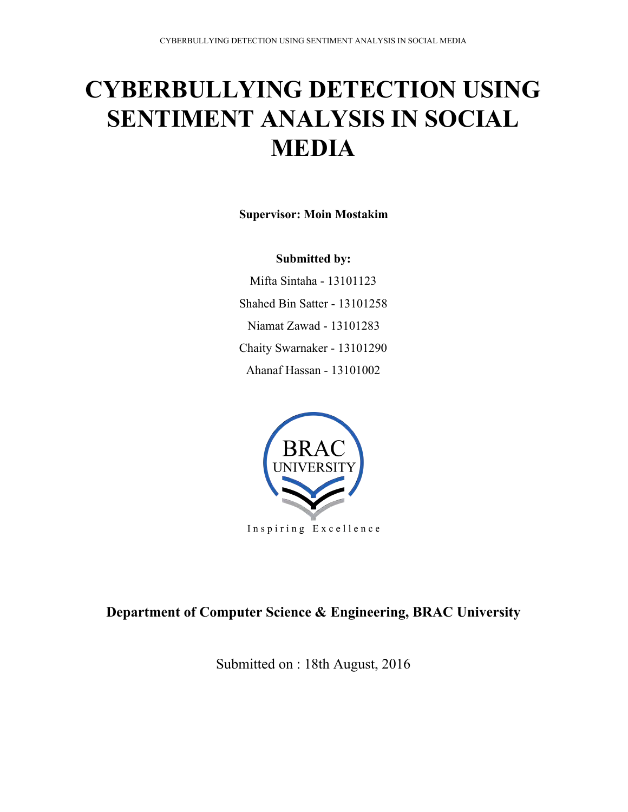# **CYBERBULLYING DETECTION USING SENTIMENT ANALYSIS IN SOCIAL MEDIA**

**Supervisor: Moin Mostakim** 

### **Submitted by:**

Mifta Sintaha - 13101123 Shahed Bin Satter - 13101258 Niamat Zawad - 13101283 Chaity Swarnaker - 13101290 Ahanaf Hassan - 13101002



# **Department of Computer Science & Engineering, BRAC University**

Submitted on : 18th August, 2016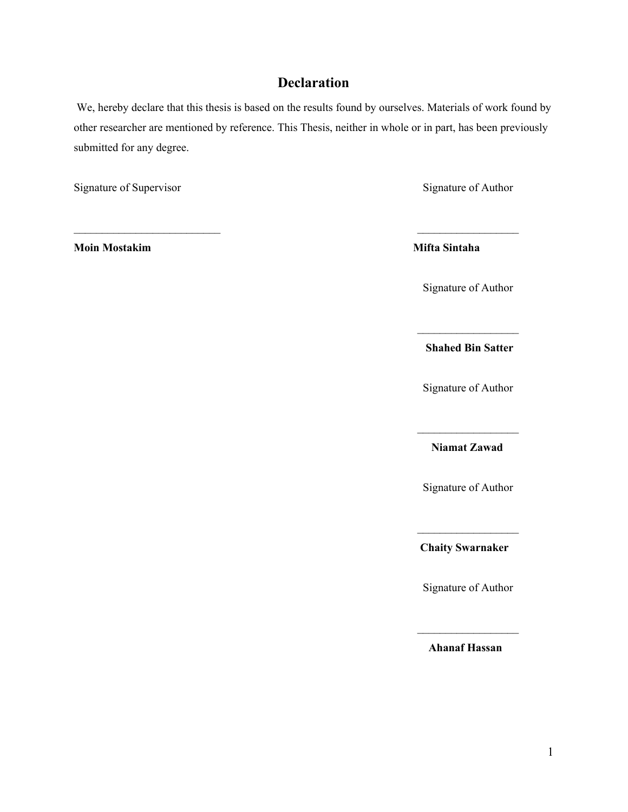# **Declaration**

We, hereby declare that this thesis is based on the results found by ourselves. Materials of work found by other researcher are mentioned by reference. This Thesis, neither in whole or in part, has been previously submitted for any degree.

\_\_\_\_\_\_\_\_\_\_\_\_\_\_\_\_\_\_\_\_\_\_\_\_\_\_ \_\_\_\_\_\_\_\_\_\_\_\_\_\_\_\_\_\_

Signature of Supervisor Signature of Author

**Moin Mostakim Mifta Sintaha**

Signature of Author

**Shahed Bin Satter**

 $\mathcal{L}_\text{max}$ 

Signature of Author

**Niamat Zawad**

 $\mathcal{L}_\text{max}$ 

Signature of Author

 $\mathcal{L}_\text{max}$ **Chaity Swarnaker**

Signature of Author

 $\mathcal{L}_\text{max}$ **Ahanaf Hassan**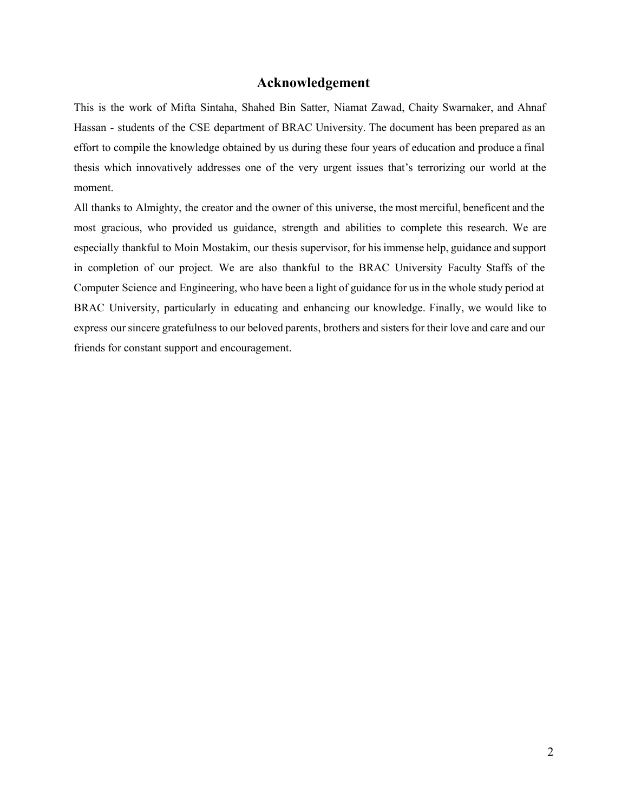#### **Acknowledgement**

This is the work of Mifta Sintaha, Shahed Bin Satter, Niamat Zawad, Chaity Swarnaker, and Ahnaf Hassan - students of the CSE department of BRAC University. The document has been prepared as an effort to compile the knowledge obtained by us during these four years of education and produce a final thesis which innovatively addresses one of the very urgent issues that's terrorizing our world at the moment.

All thanks to Almighty, the creator and the owner of this universe, the most merciful, beneficent and the most gracious, who provided us guidance, strength and abilities to complete this research. We are especially thankful to Moin Mostakim, our thesis supervisor, for his immense help, guidance and support in completion of our project. We are also thankful to the BRAC University Faculty Staffs of the Computer Science and Engineering, who have been a light of guidance for us in the whole study period at BRAC University, particularly in educating and enhancing our knowledge. Finally, we would like to express our sincere gratefulness to our beloved parents, brothers and sisters for their love and care and our friends for constant support and encouragement.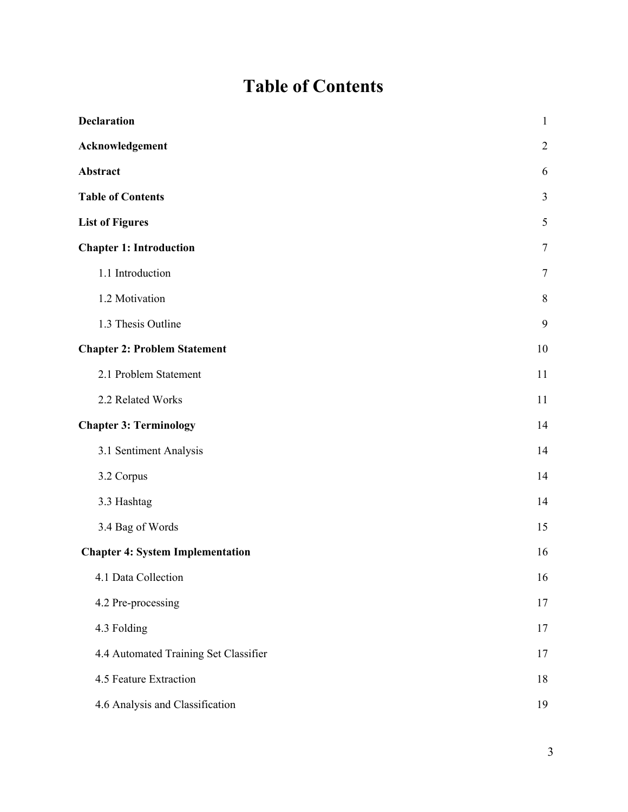# **Table of Contents**

| <b>Declaration</b>                      | $\mathbf{1}$   |
|-----------------------------------------|----------------|
| Acknowledgement                         | $\overline{2}$ |
| <b>Abstract</b>                         | 6              |
| <b>Table of Contents</b>                | 3              |
| <b>List of Figures</b>                  | 5              |
| <b>Chapter 1: Introduction</b>          | $\tau$         |
| 1.1 Introduction                        | $\tau$         |
| 1.2 Motivation                          | $8\phantom{.}$ |
| 1.3 Thesis Outline                      | 9              |
| <b>Chapter 2: Problem Statement</b>     | 10             |
| 2.1 Problem Statement                   | 11             |
| 2.2 Related Works                       | 11             |
| <b>Chapter 3: Terminology</b>           | 14             |
| 3.1 Sentiment Analysis                  | 14             |
| 3.2 Corpus                              | 14             |
| 3.3 Hashtag                             | 14             |
| 3.4 Bag of Words                        | 15             |
| <b>Chapter 4: System Implementation</b> | 16             |
| 4.1 Data Collection                     | 16             |
| 4.2 Pre-processing                      | 17             |
| 4.3 Folding                             | 17             |
| 4.4 Automated Training Set Classifier   | 17             |
| 4.5 Feature Extraction                  | 18             |
| 4.6 Analysis and Classification         | 19             |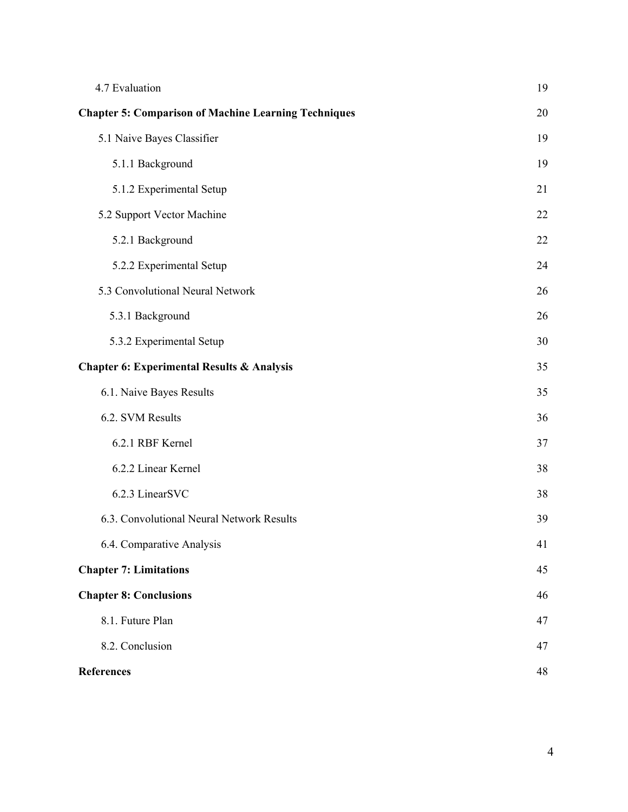| 4.7 Evaluation                                              | 19 |
|-------------------------------------------------------------|----|
| <b>Chapter 5: Comparison of Machine Learning Techniques</b> | 20 |
| 5.1 Naive Bayes Classifier                                  | 19 |
| 5.1.1 Background                                            | 19 |
| 5.1.2 Experimental Setup                                    | 21 |
| 5.2 Support Vector Machine                                  | 22 |
| 5.2.1 Background                                            | 22 |
| 5.2.2 Experimental Setup                                    | 24 |
| 5.3 Convolutional Neural Network                            | 26 |
| 5.3.1 Background                                            | 26 |
| 5.3.2 Experimental Setup                                    | 30 |
| <b>Chapter 6: Experimental Results &amp; Analysis</b>       | 35 |
| 6.1. Naive Bayes Results                                    | 35 |
| 6.2. SVM Results                                            | 36 |
| 6.2.1 RBF Kernel                                            | 37 |
| 6.2.2 Linear Kernel                                         | 38 |
| 6.2.3 LinearSVC                                             | 38 |
| 6.3. Convolutional Neural Network Results                   | 39 |
| 6.4. Comparative Analysis                                   | 41 |
| <b>Chapter 7: Limitations</b>                               | 45 |
| <b>Chapter 8: Conclusions</b>                               | 46 |
| 8.1. Future Plan                                            | 47 |
| 8.2. Conclusion                                             | 47 |
| <b>References</b>                                           | 48 |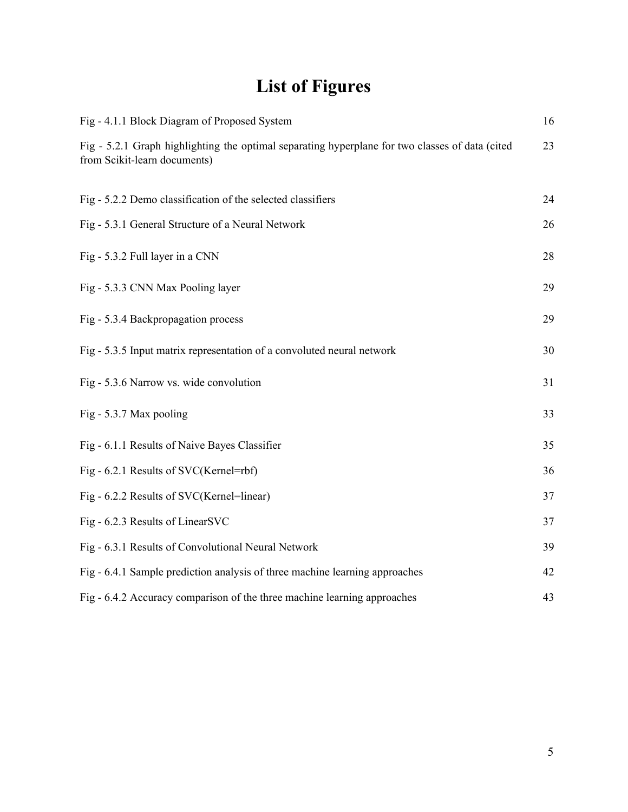# **List of Figures**

| Fig - 4.1.1 Block Diagram of Proposed System                                                                                    | 16 |
|---------------------------------------------------------------------------------------------------------------------------------|----|
| Fig - 5.2.1 Graph highlighting the optimal separating hyperplane for two classes of data (cited<br>from Scikit-learn documents) | 23 |
| Fig - 5.2.2 Demo classification of the selected classifiers                                                                     | 24 |
| Fig - 5.3.1 General Structure of a Neural Network                                                                               | 26 |
| Fig - 5.3.2 Full layer in a CNN                                                                                                 | 28 |
| Fig - 5.3.3 CNN Max Pooling layer                                                                                               | 29 |
| Fig - 5.3.4 Backpropagation process                                                                                             | 29 |
| Fig - 5.3.5 Input matrix representation of a convoluted neural network                                                          | 30 |
| Fig - 5.3.6 Narrow vs. wide convolution                                                                                         | 31 |
| Fig - 5.3.7 Max pooling                                                                                                         | 33 |
| Fig - 6.1.1 Results of Naive Bayes Classifier                                                                                   | 35 |
| Fig - 6.2.1 Results of SVC(Kernel=rbf)                                                                                          | 36 |
| Fig - 6.2.2 Results of SVC(Kernel=linear)                                                                                       | 37 |
| Fig - 6.2.3 Results of LinearSVC                                                                                                | 37 |
| Fig - 6.3.1 Results of Convolutional Neural Network                                                                             | 39 |
| Fig - 6.4.1 Sample prediction analysis of three machine learning approaches                                                     | 42 |
| Fig - 6.4.2 Accuracy comparison of the three machine learning approaches                                                        | 43 |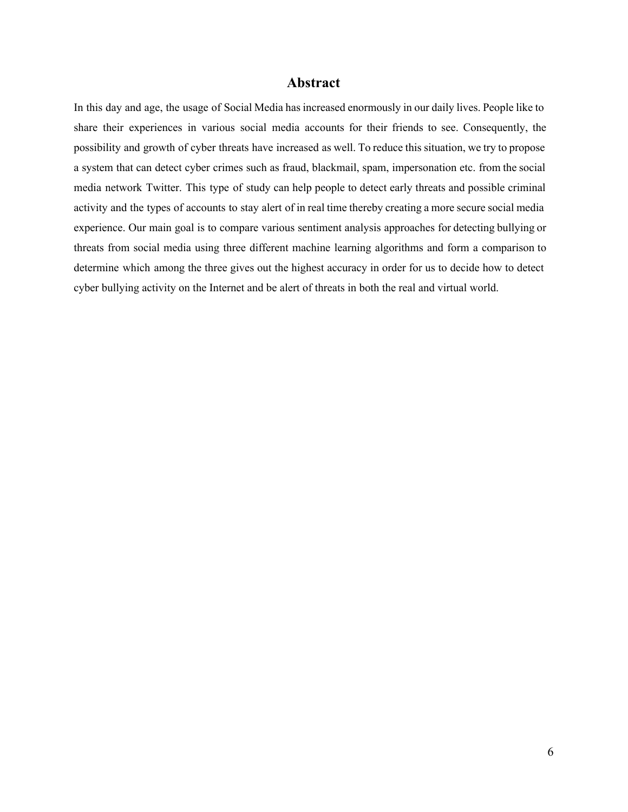#### **Abstract**

In this day and age, the usage of Social Media has increased enormously in our daily lives. People like to share their experiences in various social media accounts for their friends to see. Consequently, the possibility and growth of cyber threats have increased as well. To reduce this situation, we try to propose a system that can detect cyber crimes such as fraud, blackmail, spam, impersonation etc. from the social media network Twitter. This type of study can help people to detect early threats and possible criminal activity and the types of accounts to stay alert of in real time thereby creating a more secure social media experience. Our main goal is to compare various sentiment analysis approaches for detecting bullying or threats from social media using three different machine learning algorithms and form a comparison to determine which among the three gives out the highest accuracy in order for us to decide how to detect cyber bullying activity on the Internet and be alert of threats in both the real and virtual world.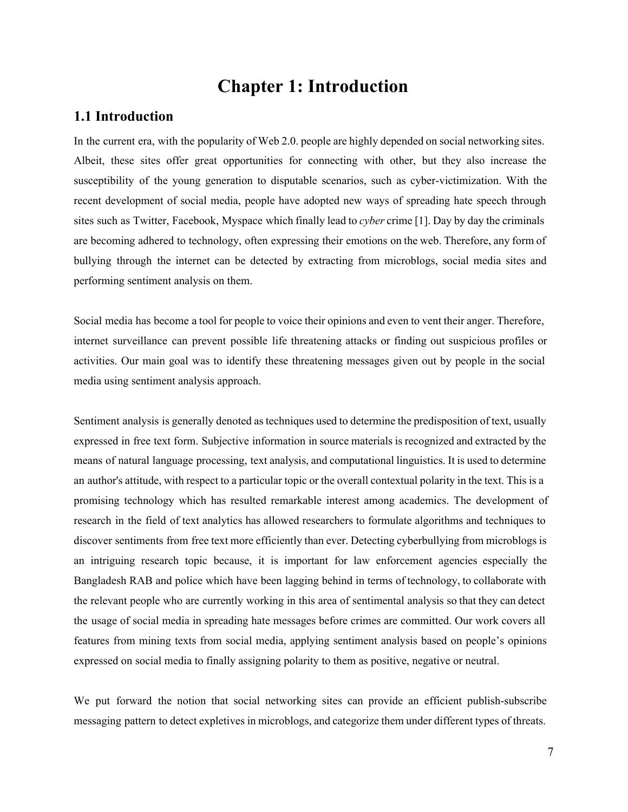# **Chapter 1: Introduction**

### **1.1 Introduction**

In the current era, with the popularity of Web 2.0. people are highly depended on social networking sites. Albeit, these sites offer great opportunities for connecting with other, but they also increase the susceptibility of the young generation to disputable scenarios, such as cyber-victimization. With the recent development of social media, people have adopted new ways of spreading hate speech through sites such as Twitter, Facebook, Myspace which finally lead to *cyber* crime [1]. Day by day the criminals are becoming adhered to technology, often expressing their emotions on the web. Therefore, any form of bullying through the internet can be detected by extracting from microblogs, social media sites and performing sentiment analysis on them.

Social media has become a tool for people to voice their opinions and even to vent their anger. Therefore, internet surveillance can prevent possible life threatening attacks or finding out suspicious profiles or activities. Our main goal was to identify these threatening messages given out by people in the social media using sentiment analysis approach.

Sentiment analysis is generally denoted as techniques used to determine the predisposition of text, usually expressed in free text form. Subjective information in source materials is recognized and extracted by the means of natural language processing, text analysis, and computational linguistics. It is used to determine an author's attitude, with respect to a particular topic or the overall contextual polarity in the text. This is a promising technology which has resulted remarkable interest among academics. The development of research in the field of text analytics has allowed researchers to formulate algorithms and techniques to discover sentiments from free text more efficiently than ever. Detecting cyberbullying from microblogs is an intriguing research topic because, it is important for law enforcement agencies especially the Bangladesh RAB and police which have been lagging behind in terms of technology, to collaborate with the relevant people who are currently working in this area of sentimental analysis so that they can detect the usage of social media in spreading hate messages before crimes are committed. Our work covers all features from mining texts from social media, applying sentiment analysis based on people's opinions expressed on social media to finally assigning polarity to them as positive, negative or neutral.

We put forward the notion that social networking sites can provide an efficient publish-subscribe messaging pattern to detect expletives in microblogs, and categorize them under different types of threats.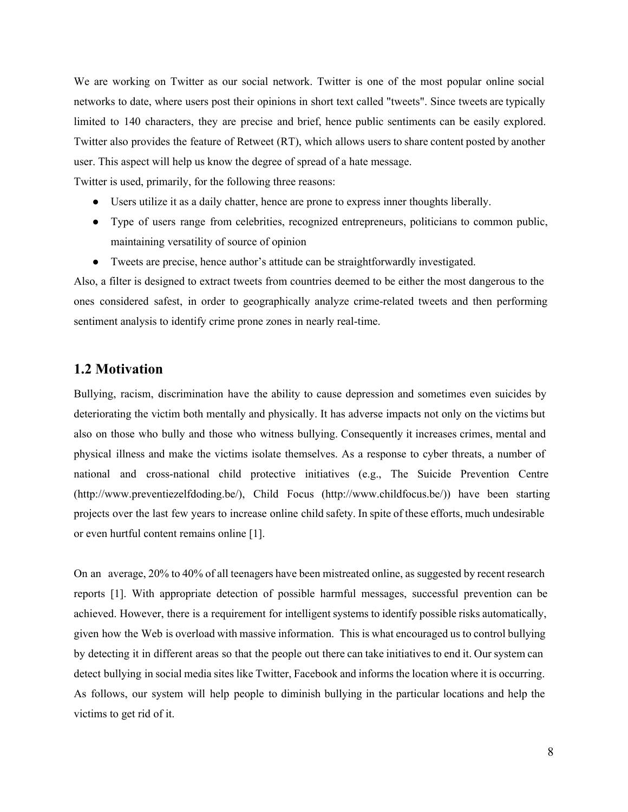We are working on Twitter as our social network. Twitter is one of the most popular online social networks to date, where users post their opinions in short text called "tweets". Since tweets are typically limited to 140 characters, they are precise and brief, hence public sentiments can be easily explored. Twitter also provides the feature of Retweet (RT), which allows users to share content posted by another user. This aspect will help us know the degree of spread of a hate message.

Twitter is used, primarily, for the following three reasons:

- Users utilize it as a daily chatter, hence are prone to express inner thoughts liberally.
- Type of users range from celebrities, recognized entrepreneurs, politicians to common public, maintaining versatility of source of opinion
- Tweets are precise, hence author's attitude can be straightforwardly investigated.

Also, a filter is designed to extract tweets from countries deemed to be either the most dangerous to the ones considered safest, in order to geographically analyze crime-related tweets and then performing sentiment analysis to identify crime prone zones in nearly real-time.

#### **1.2 Motivation**

Bullying, racism, discrimination have the ability to cause depression and sometimes even suicides by deteriorating the victim both mentally and physically. It has adverse impacts not only on the victims but also on those who bully and those who witness bullying. Consequently it increases crimes, mental and physical illness and make the victims isolate themselves. As a response to cyber threats, a number of national and cross-national child protective initiatives (e.g., The Suicide Prevention Centre (http://www.preventiezelfdoding.be/), Child Focus (http://www.childfocus.be/)) have been starting projects over the last few years to increase online child safety. In spite of these efforts, much undesirable or even hurtful content remains online [1].

On an average, 20% to 40% of all teenagers have been mistreated online, as suggested by recent research reports [1]. With appropriate detection of possible harmful messages, successful prevention can be achieved. However, there is a requirement for intelligent systems to identify possible risks automatically, given how the Web is overload with massive information. This is what encouraged us to control bullying by detecting it in different areas so that the people out there can take initiatives to end it. Our system can detect bullying in social media sites like Twitter, Facebook and informs the location where it is occurring. As follows, our system will help people to diminish bullying in the particular locations and help the victims to get rid of it.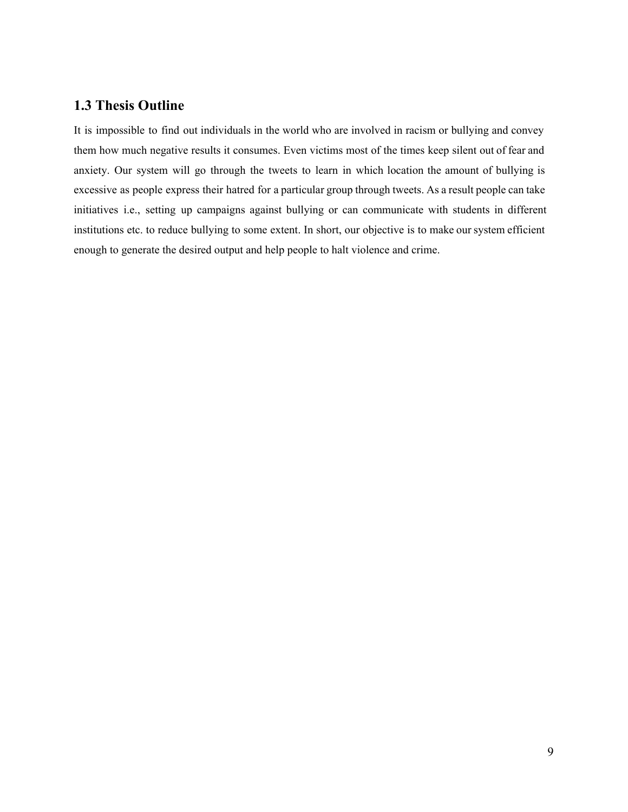# **1.3 Thesis Outline**

It is impossible to find out individuals in the world who are involved in racism or bullying and convey them how much negative results it consumes. Even victims most of the times keep silent out of fear and anxiety. Our system will go through the tweets to learn in which location the amount of bullying is excessive as people express their hatred for a particular group through tweets. As a result people can take initiatives i.e., setting up campaigns against bullying or can communicate with students in different institutions etc. to reduce bullying to some extent. In short, our objective is to make our system efficient enough to generate the desired output and help people to halt violence and crime.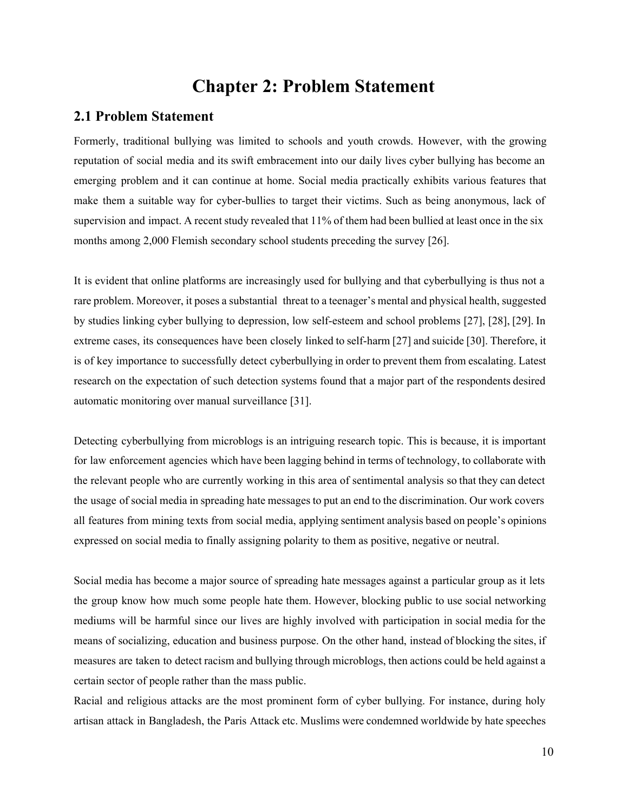# **Chapter 2: Problem Statement**

#### **2.1 Problem Statement**

Formerly, traditional bullying was limited to schools and youth crowds. However, with the growing reputation of social media and its swift embracement into our daily lives cyber bullying has become an emerging problem and it can continue at home. Social media practically exhibits various features that make them a suitable way for cyber-bullies to target their victims. Such as being anonymous, lack of supervision and impact. A recent study revealed that 11% of them had been bullied at least once in the six months among 2,000 Flemish secondary school students preceding the survey [26].

It is evident that online platforms are increasingly used for bullying and that cyberbullying is thus not a rare problem. Moreover, it poses a substantial threat to a teenager's mental and physical health, suggested by studies linking cyber bullying to depression, low self-esteem and school problems [27], [28], [29]. In extreme cases, its consequences have been closely linked to self-harm [27] and suicide [30]. Therefore, it is of key importance to successfully detect cyberbullying in order to prevent them from escalating. Latest research on the expectation of such detection systems found that a major part of the respondents desired automatic monitoring over manual surveillance [31].

Detecting cyberbullying from microblogs is an intriguing research topic. This is because, it is important for law enforcement agencies which have been lagging behind in terms of technology, to collaborate with the relevant people who are currently working in this area of sentimental analysis so that they can detect the usage of social media in spreading hate messages to put an end to the discrimination. Our work covers all features from mining texts from social media, applying sentiment analysis based on people's opinions expressed on social media to finally assigning polarity to them as positive, negative or neutral.

Social media has become a major source of spreading hate messages against a particular group as it lets the group know how much some people hate them. However, blocking public to use social networking mediums will be harmful since our lives are highly involved with participation in social media for the means of socializing, education and business purpose. On the other hand, instead of blocking the sites, if measures are taken to detect racism and bullying through microblogs, then actions could be held against a certain sector of people rather than the mass public.

Racial and religious attacks are the most prominent form of cyber bullying. For instance, during holy artisan attack in Bangladesh, the Paris Attack etc. Muslims were condemned worldwide by hate speeches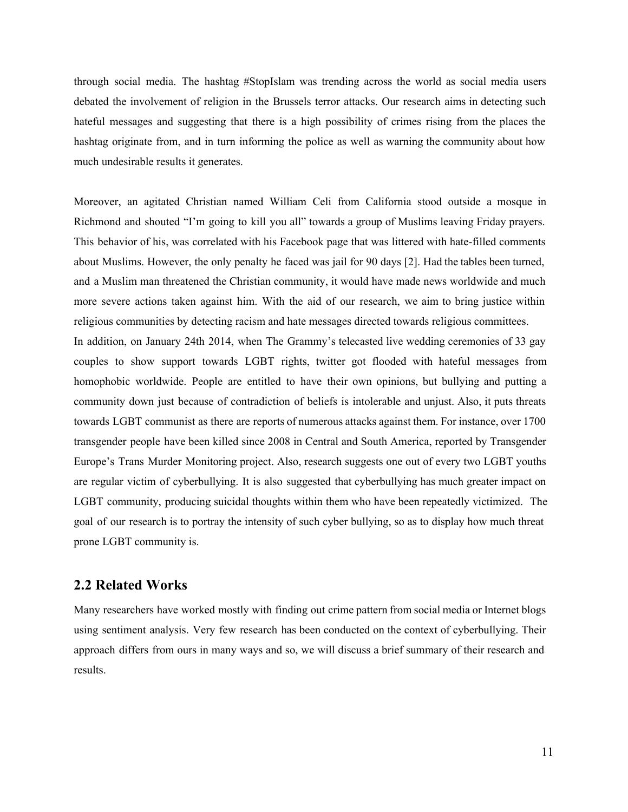through social media. The hashtag #StopIslam was trending across the world as social media users debated the involvement of religion in the Brussels terror attacks. Our research aims in detecting such hateful messages and suggesting that there is a high possibility of crimes rising from the places the hashtag originate from, and in turn informing the police as well as warning the community about how much undesirable results it generates.

Moreover, an agitated Christian named William Celi from California stood outside a mosque in Richmond and shouted "I'm going to kill you all" towards a group of Muslims leaving Friday prayers. This behavior of his, was correlated with his Facebook page that was littered with hate-filled comments about Muslims. However, the only penalty he faced was jail for 90 days [2]. Had the tables been turned, and a Muslim man threatened the Christian community, it would have made news worldwide and much more severe actions taken against him. With the aid of our research, we aim to bring justice within religious communities by detecting racism and hate messages directed towards religious committees. In addition, on January 24th 2014, when The Grammy's telecasted live wedding ceremonies of 33 gay couples to show support towards LGBT rights, twitter got flooded with hateful messages from homophobic worldwide. People are entitled to have their own opinions, but bullying and putting a community down just because of contradiction of beliefs is intolerable and unjust. Also, it puts threats towards LGBT communist as there are reports of numerous attacks against them. For instance, over 1700 transgender people have been killed since 2008 in Central and South America, reported by Transgender Europe's Trans Murder Monitoring project. Also, research suggests one out of every two LGBT youths are regular victim of cyberbullying. It is also suggested that cyberbullying has much greater impact on LGBT community, producing suicidal thoughts within them who have been repeatedly victimized. The goal of our research is to portray the intensity of such cyber bullying, so as to display how much threat prone LGBT community is.

### **2.2 Related Works**

Many researchers have worked mostly with finding out crime pattern from social media or Internet blogs using sentiment analysis. Very few research has been conducted on the context of cyberbullying. Their approach differs from ours in many ways and so, we will discuss a brief summary of their research and results.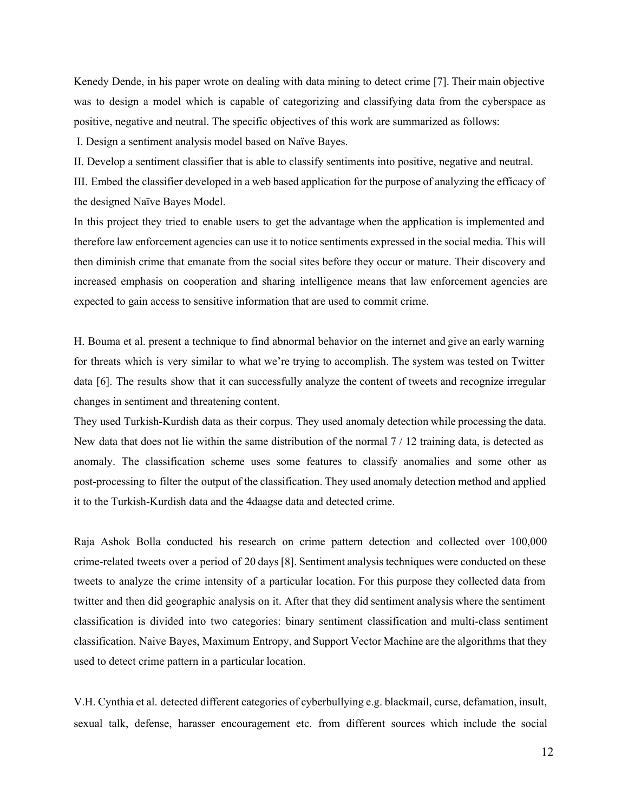Kenedy Dende, in his paper wrote on dealing with data mining to detect crime [7]. Their main objective was to design a model which is capable of categorizing and classifying data from the cyberspace as positive, negative and neutral. The specific objectives of this work are summarized as follows:

I. Design a sentiment analysis model based on Naïve Bayes.

II. Develop a sentiment classifier that is able to classify sentiments into positive, negative and neutral.

III. Embed the classifier developed in a web based application for the purpose of analyzing the efficacy of the designed Naïve Bayes Model.

In this project they tried to enable users to get the advantage when the application is implemented and therefore law enforcement agencies can use it to notice sentiments expressed in the social media. This will then diminish crime that emanate from the social sites before they occur or mature. Their discovery and increased emphasis on cooperation and sharing intelligence means that law enforcement agencies are expected to gain access to sensitive information that are used to commit crime.

H. Bouma et al. present a technique to find abnormal behavior on the internet and give an early warning for threats which is very similar to what we're trying to accomplish. The system was tested on Twitter data [6]. The results show that it can successfully analyze the content of tweets and recognize irregular changes in sentiment and threatening content.

They used Turkish-Kurdish data as their corpus. They used anomaly detection while processing the data. New data that does not lie within the same distribution of the normal  $7/12$  training data, is detected as anomaly. The classification scheme uses some features to classify anomalies and some other as post-processing to filter the output of the classification. They used anomaly detection method and applied it to the Turkish-Kurdish data and the 4daagse data and detected crime.

Raja Ashok Bolla conducted his research on crime pattern detection and collected over 100,000 crime-related tweets over a period of 20 days [8]. Sentiment analysis techniques were conducted on these tweets to analyze the crime intensity of a particular location. For this purpose they collected data from twitter and then did geographic analysis on it. After that they did sentiment analysis where the sentiment classification is divided into two categories: binary sentiment classification and multi-class sentiment classification. Naive Bayes, Maximum Entropy, and Support Vector Machine are the algorithms that they used to detect crime pattern in a particular location.

V.H. Cynthia et al. detected different categories of cyberbullying e.g. blackmail, curse, defamation, insult, sexual talk, defense, harasser encouragement etc. from different sources which include the social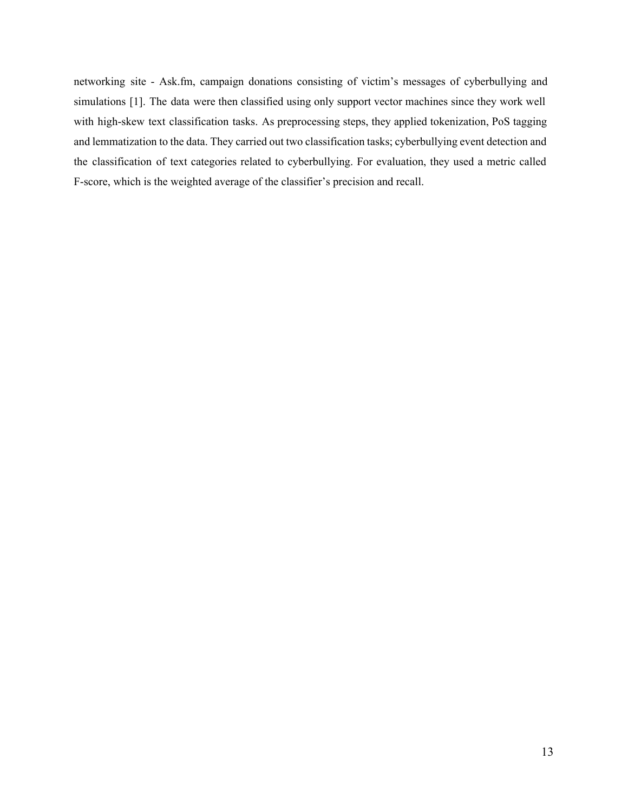networking site - Ask.fm, campaign donations consisting of victim's messages of cyberbullying and simulations [1]. The data were then classified using only support vector machines since they work well with high-skew text classification tasks. As preprocessing steps, they applied tokenization, PoS tagging and lemmatization to the data. They carried out two classification tasks; cyberbullying event detection and the classification of text categories related to cyberbullying. For evaluation, they used a metric called F-score, which is the weighted average of the classifier's precision and recall.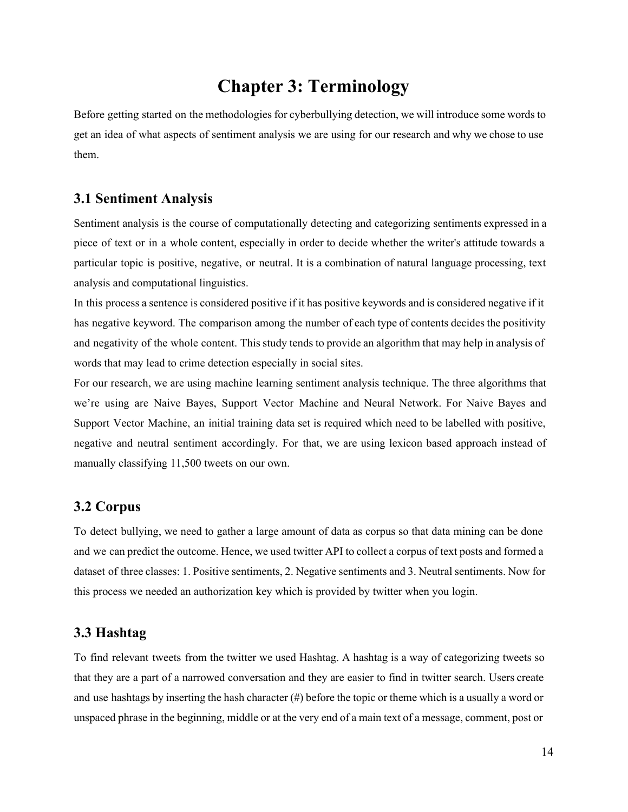# **Chapter 3: Terminology**

Before getting started on the methodologies for cyberbullying detection, we will introduce some words to get an idea of what aspects of sentiment analysis we are using for our research and why we chose to use them.

#### **3.1 Sentiment Analysis**

Sentiment analysis is the course of computationally detecting and categorizing sentiments expressed in a piece of text or in a whole content, especially in order to decide whether the writer's attitude towards a particular topic is positive, negative, or neutral. It is a combination of natural language processing, text analysis and computational linguistics.

In this process a sentence is considered positive if it has positive keywords and is considered negative if it has negative keyword. The comparison among the number of each type of contents decides the positivity and negativity of the whole content. This study tends to provide an algorithm that may help in analysis of words that may lead to crime detection especially in social sites.

For our research, we are using machine learning sentiment analysis technique. The three algorithms that we're using are Naive Bayes, Support Vector Machine and Neural Network. For Naive Bayes and Support Vector Machine, an initial training data set is required which need to be labelled with positive, negative and neutral sentiment accordingly. For that, we are using lexicon based approach instead of manually classifying 11,500 tweets on our own.

### **3.2 Corpus**

To detect bullying, we need to gather a large amount of data as corpus so that data mining can be done and we can predict the outcome. Hence, we used twitter API to collect a corpus of text posts and formed a dataset of three classes: 1. Positive sentiments, 2. Negative sentiments and 3. Neutral sentiments. Now for this process we needed an authorization key which is provided by twitter when you login.

## **3.3 Hashtag**

To find relevant tweets from the twitter we used Hashtag. A hashtag is a way of categorizing tweets so that they are a part of a narrowed conversation and they are easier to find in twitter search. Users create and use hashtags by inserting the hash character  $(\#)$  before the topic or theme which is a usually a word or unspaced phrase in the beginning, middle or at the very end of a main text of a message, comment, post or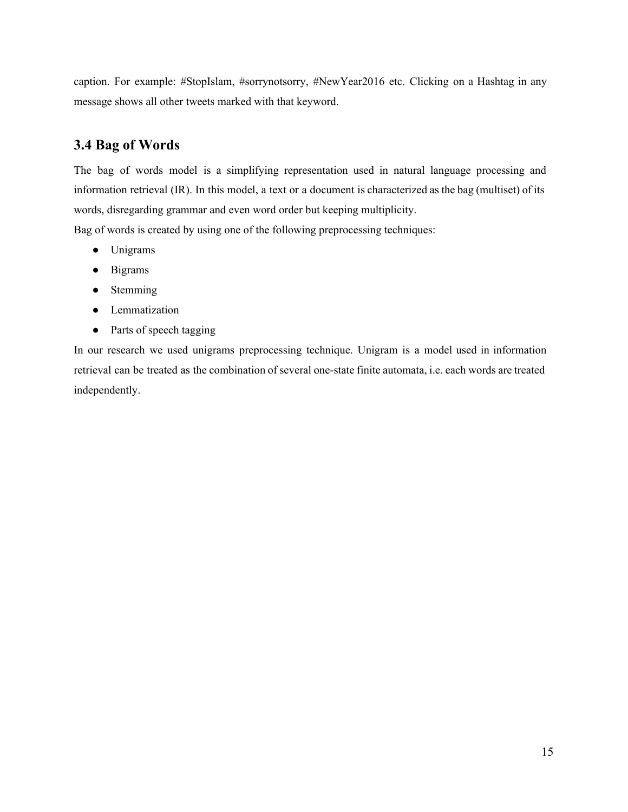caption. For example: #StopIslam, #sorrynotsorry, #NewYear2016 etc. Clicking on a Hashtag in any message shows all other tweets marked with that keyword.

# **3.4 Bag of Words**

The bag of words model is a simplifying representation used in natural language processing and information retrieval (IR). In this model, a text or a document is characterized as the bag (multiset) of its words, disregarding grammar and even word order but keeping multiplicity.

Bag of words is created by using one of the following preprocessing techniques:

- Unigrams
- Bigrams
- Stemming
- Lemmatization
- Parts of speech tagging

In our research we used unigrams preprocessing technique. Unigram is a model used in information retrieval can be treated as the combination of several one-state finite automata, i.e. each words are treated independently.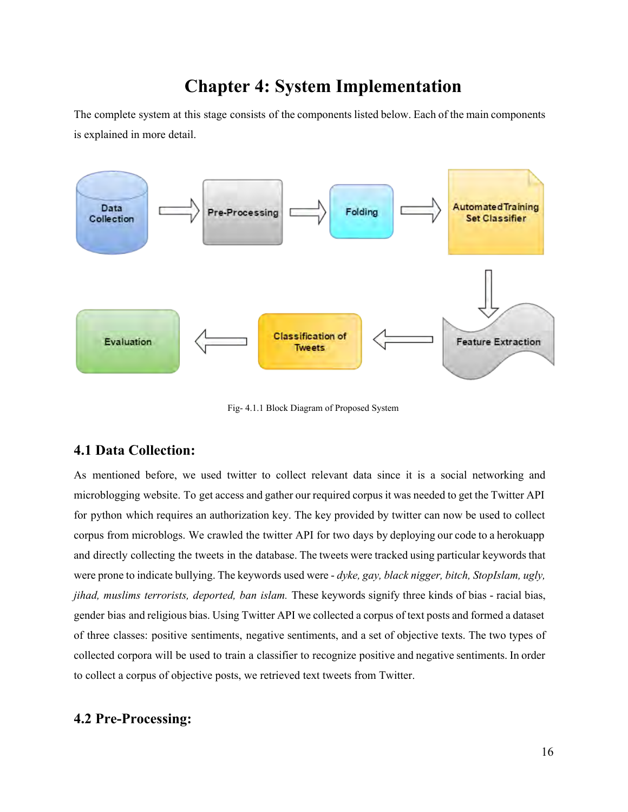# **Chapter 4: System Implementation**

The complete system at this stage consists of the components listed below. Each of the main components is explained in more detail.



Fig- 4.1.1 Block Diagram of Proposed System

# **4.1 Data Collection:**

As mentioned before, we used twitter to collect relevant data since it is a social networking and microblogging website. To get access and gather our required corpus it was needed to get the Twitter API for python which requires an authorization key. The key provided by twitter can now be used to collect corpus from microblogs. We crawled the twitter API for two days by deploying our code to a herokuapp and directly collecting the tweets in the database. The tweets were tracked using particular keywords that were prone to indicate bullying. The keywords used were - dyke, gay, black nigger, bitch, StopIslam, ugly, *jihad, muslims terrorists, deported, ban islam.* These keywords signify three kinds of bias - racial bias, gender bias and religious bias. Using Twitter API we collected a corpus of text posts and formed a dataset of three classes: positive sentiments, negative sentiments, and a set of objective texts. The two types of collected corpora will be used to train a classifier to recognize positive and negative sentiments. In order to collect a corpus of objective posts, we retrieved text tweets from Twitter.

# **4.2 Pre-Processing:**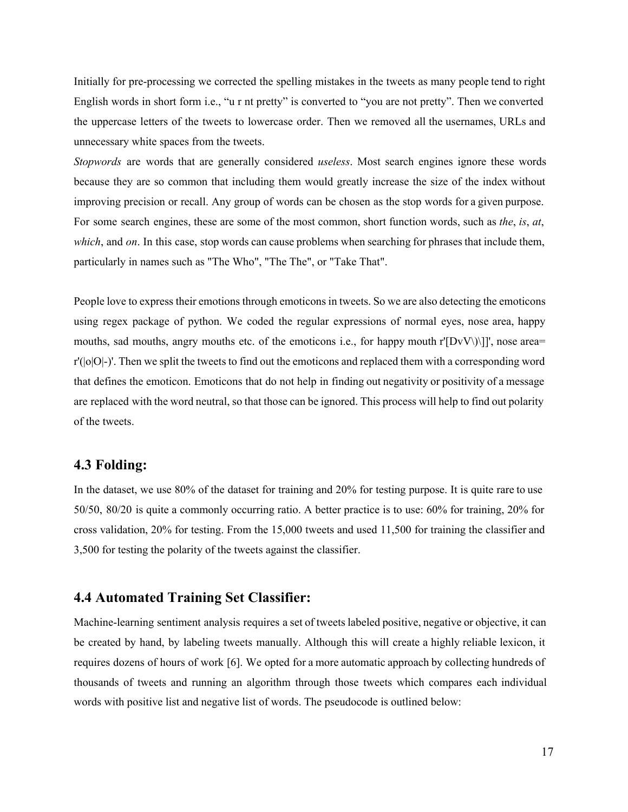Initially for pre-processing we corrected the spelling mistakes in the tweets as many people tend to right English words in short form i.e., "u r nt pretty" is converted to "you are not pretty". Then we converted the uppercase letters of the tweets to lowercase order. Then we removed all the usernames, URLs and unnecessary white spaces from the tweets.

*Stopwords* are words that are generally considered *useless*. Most search engines ignore these words because they are so common that including them would greatly increase the size of the index without improving precision or recall. Any group of words can be chosen as the stop words for a given purpose. For som[e search engines](https://en.wikipedia.org/wiki/Search_engine), these are some of the most common, shor[t function words](https://en.wikipedia.org/wiki/Function_word), such as *the*, *is*, *at*, *which*, and on. In this case, stop words can cause problems when searching for phrases that include them, particularly in names such as "[The](https://en.wikipedia.org/wiki/The_Who) Who", "[The](https://en.wikipedia.org/wiki/The_The) The", or "[Take](https://en.wikipedia.org/wiki/Take_That) That".

People love to express their emotions through emoticons in tweets. So we are also detecting the emoticons using regex package of python. We coded the regular expressions of normal eyes, nose area, happy mouths, sad mouths, angry mouths etc. of the emoticons i.e., for happy mouth r' $[DvV\setminus ]$ ]', nose area= r'(|o|O|-)'. Then we split the tweets to find out the emoticons and replaced them with a corresponding word that defines the emoticon. Emoticons that do not help in finding out negativity or positivity of a message are replaced with the word neutral, so that those can be ignored. This process will help to find out polarity of the tweets.

## **4.3 Folding:**

In the dataset, we use 80% of the dataset for training and 20% for testing purpose. It is quite rare to use 50/50, 80/20 is quite a commonly occurring ratio. A better practice is to use: 60% for training, 20% for cross validation, 20% for testing. From the 15,000 tweets and used 11,500 for training the classifier and 3,500 for testing the polarity of the tweets against the classifier.

### **4.4 Automated Training Set Classifier:**

Machine-learning sentiment analysis requires a set of tweets labeled positive, negative or objective, it can be created by hand, by labeling tweets manually. Although this will create a highly reliable lexicon, it requires dozens of hours of work [6]. We opted for a more automatic approach by collecting hundreds of thousands of tweets and running an algorithm through those tweets which compares each individual words with positive list and negative list of words. The pseudocode is outlined below: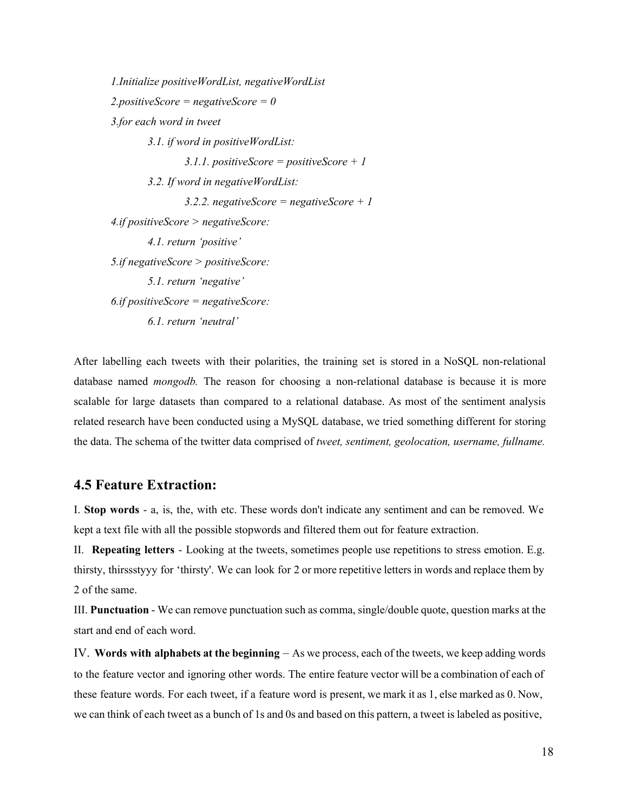*1.Initialize positiveWordList, negativeWordList 2.positiveScore = negativeScore = 0 3.for each word in tweet 3.1. if word in positiveWordList: 3.1.1. positiveScore = positiveScore + 1 3.2. If word in negativeWordList: 3.2.2. negativeScore = negativeScore + 1 4.if positiveScore > negativeScore: 4.1. return 'positive' 5.if negativeScore > positiveScore: 5.1. return 'negative' 6.if positiveScore = negativeScore: 6.1. return 'neutral'* 

After labelling each tweets with their polarities, the training set is stored in a NoSQL non-relational database named *mongodb*. The reason for choosing a non-relational database is because it is more scalable for large datasets than compared to a relational database. As most of the sentiment analysis related research have been conducted using a MySQL database, we tried something different for storing the data. The schema of the twitter data comprised of *tweet, sentiment, geolocation, username, fullname.*

### **4.5 Feature Extraction:**

I. **Stop words** - a, is, the, with etc. These words don't indicate any sentiment and can be removed. We kept a text file with all the possible stopwords and filtered them out for feature extraction.

II. **Repeating letters** - Looking at the tweets, sometimes people use repetitions to stress emotion. E.g. thirsty, thirssstyyy for 'thirsty'. We can look for 2 or more repetitive letters in words and replace them by 2 of the same.

III. **Punctuation** - We can remove punctuation such as comma, single/double quote, question marks at the start and end of each word.

IV. **Words with alphabets at the beginning**  – As we process, each of the tweets, we keep adding words to the feature vector and ignoring other words. The entire feature vector will be a combination of each of these feature words. For each tweet, if a feature word is present, we mark it as 1, else marked as 0. Now, we can think of each tweet as a bunch of 1s and 0s and based on this pattern, a tweet is labeled as positive,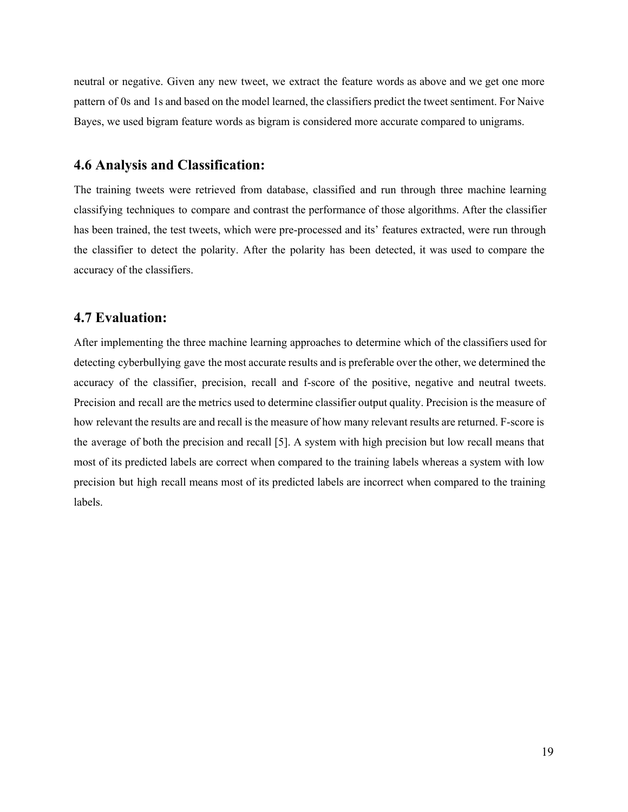neutral or negative. Given any new tweet, we extract the feature words as above and we get one more pattern of 0s and 1s and based on the model learned, the classifiers predict the tweet sentiment. For Naive Bayes, we used bigram feature words as bigram is considered more accurate compared to unigrams.

# **4.6 Analysis and Classification:**

The training tweets were retrieved from database, classified and run through three machine learning classifying techniques to compare and contrast the performance of those algorithms. After the classifier has been trained, the test tweets, which were pre-processed and its' features extracted, were run through the classifier to detect the polarity. After the polarity has been detected, it was used to compare the accuracy of the classifiers.

### **4.7 Evaluation:**

After implementing the three machine learning approaches to determine which of the classifiers used for detecting cyberbullying gave the most accurate results and is preferable over the other, we determined the accuracy of the classifier, precision, recall and f-score of the positive, negative and neutral tweets. Precision and recall are the metrics used to determine classifier output quality. Precision is the measure of how relevant the results are and recall is the measure of how many relevant results are returned. F-score is the average of both the precision and recall [5]. A system with high precision but low recall means that most of its predicted labels are correct when compared to the training labels whereas a system with low precision but high recall means most of its predicted labels are incorrect when compared to the training labels.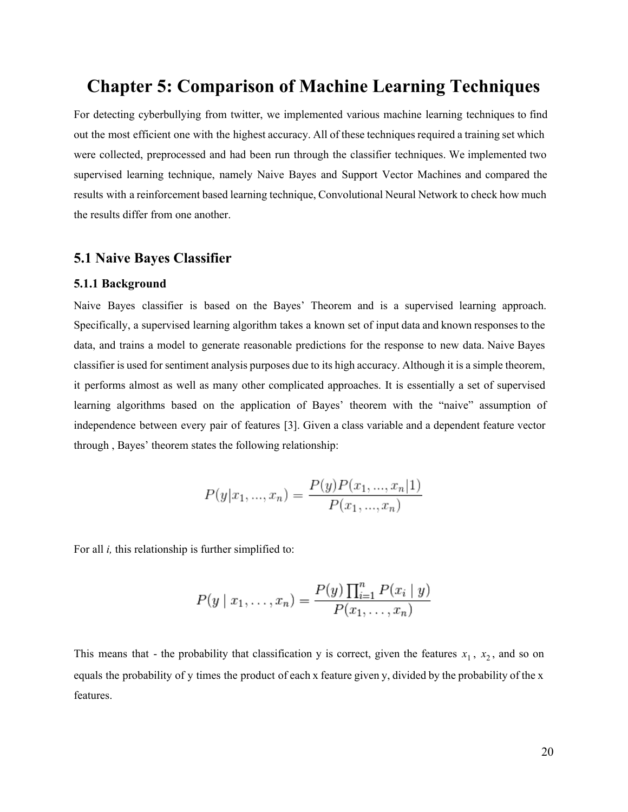# **Chapter 5: Comparison of Machine Learning Techniques**

For detecting cyberbullying from twitter, we implemented various machine learning techniques to find out the most efficient one with the highest accuracy. All of these techniques required a training set which were collected, preprocessed and had been run through the classifier techniques. We implemented two supervised learning technique, namely Naive Bayes and Support Vector Machines and compared the results with a reinforcement based learning technique, Convolutional Neural Network to check how much the results differ from one another.

#### **5.1 Naive Bayes Classifier**

#### **5.1.1 Background**

Naive Bayes classifier is based on the Bayes' Theorem and is a supervised learning approach. Specifically, a supervised learning algorithm takes a known set of input data and known responses to the data, and trains a model to generate reasonable predictions for the response to new data. Naive Bayes classifier is used for sentiment analysis purposes due to its high accuracy. Although it is a simple theorem, it performs almost as well as many other complicated approaches. It is essentially a set of supervised learning algorithms based on the application of Bayes' theorem with the "naive" assumption of independence between every pair of features [3]. Given a class variable and a dependent feature vector through , Bayes' theorem states the following relationship:

$$
P(y|x_1, ..., x_n) = \frac{P(y)P(x_1, ..., x_n|1)}{P(x_1, ..., x_n)}
$$

For all *i*, this relationship is further simplified to:

$$
P(y \mid x_1, \dots, x_n) = \frac{P(y) \prod_{i=1}^n P(x_i \mid y)}{P(x_1, \dots, x_n)}
$$

This means that - the probability that classification y is correct, given the features  $x_1$ ,  $x_2$ , and so on equals the probability of y times the product of each x feature given y, divided by the probability of the x features.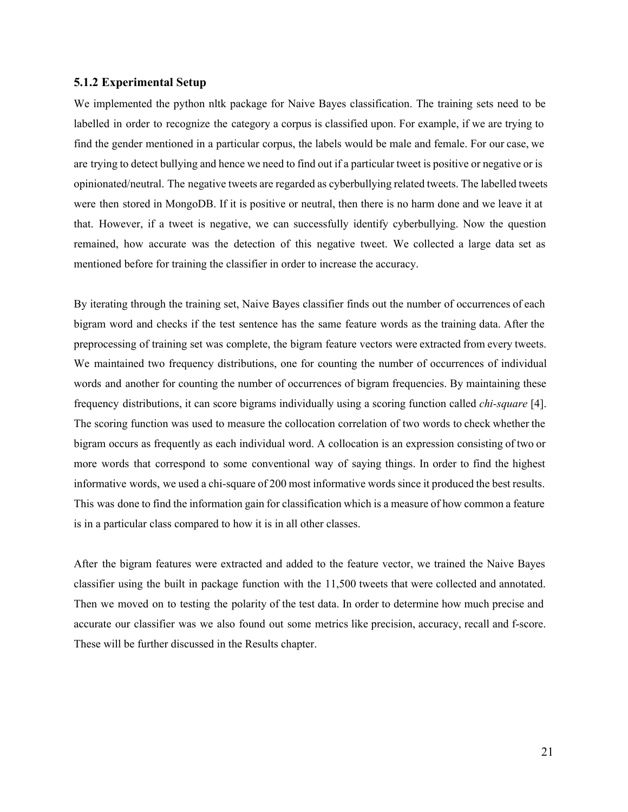#### **5.1.2 Experimental Setup**

We implemented the python nltk package for Naive Bayes classification. The training sets need to be labelled in order to recognize the category a corpus is classified upon. For example, if we are trying to find the gender mentioned in a particular corpus, the labels would be male and female. For our case, we are trying to detect bullying and hence we need to find out if a particular tweet is positive or negative or is opinionated/neutral. The negative tweets are regarded as cyberbullying related tweets. The labelled tweets were then stored in MongoDB. If it is positive or neutral, then there is no harm done and we leave it at that. However, if a tweet is negative, we can successfully identify cyberbullying. Now the question remained, how accurate was the detection of this negative tweet. We collected a large data set as mentioned before for training the classifier in order to increase the accuracy.

By iterating through the training set, Naive Bayes classifier finds out the number of occurrences of each bigram word and checks if the test sentence has the same feature words as the training data. After the preprocessing of training set was complete, the bigram feature vectors were extracted from every tweets. We maintained two frequency distributions, one for counting the number of occurrences of individual words and another for counting the number of occurrences of bigram frequencies. By maintaining these frequency distributions, it can score bigrams individually using a scoring function called *chi-square* [4]. The scoring function was used to measure the collocation correlation of two words to check whether the bigram occurs as frequently as each individual word. A collocation is an expression consisting of two or more words that correspond to some conventional way of saying things. In order to find the highest informative words, we used a chi-square of 200 most informative words since it produced the best results. This was done to find the information gain for classification which is a measure of how common a feature is in a particular class compared to how it is in all other classes.

After the bigram features were extracted and added to the feature vector, we trained the Naive Bayes classifier using the built in package function with the 11,500 tweets that were collected and annotated. Then we moved on to testing the polarity of the test data. In order to determine how much precise and accurate our classifier was we also found out some metrics like precision, accuracy, recall and f-score. These will be further discussed in the Results chapter.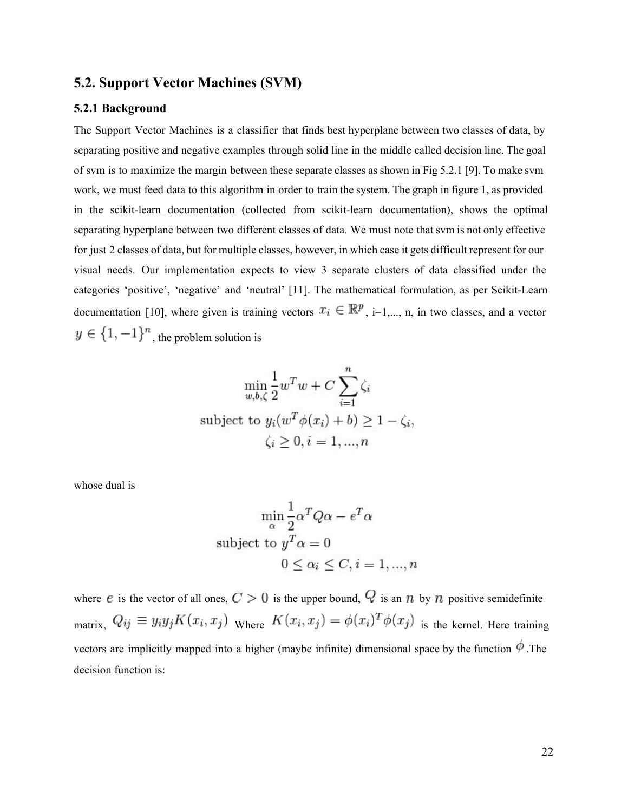#### **5.2. Support Vector Machines (SVM)**

#### **5.2.1 Background**

The Support Vector Machines is a classifier that finds best hyperplane between two classes of data, by separating positive and negative examples through solid line in the middle called decision line. The goal of svm is to maximize the margin between these separate classes as shown in Fig 5.2.1 [9]. To make svm work, we must feed data to this algorithm in order to train the system. The graph in figure 1, as provided in the scikit-learn documentation (collected from scikit-learn documentation), shows the optimal separating hyperplane between two different classes of data. We must note that svm is not only effective for just 2 classes of data, but for multiple classes, however, in which case it gets difficult represent for our visual needs. Our implementation expects to view 3 separate clusters of data classified under the categories 'positive', 'negative' and 'neutral' [11]. The mathematical formulation, as per Scikit-Learn documentation [10], where given is training vectors  $x_i \in \mathbb{R}^p$ , i=1,..., n, in two classes, and a vector  $y \in \{1, -1\}^n$ , the problem solution is

$$
\min_{w,b,\zeta} \frac{1}{2} w^T w + C \sum_{i=1}^n \zeta_i
$$
\nsubject to  $y_i(w^T \phi(x_i) + b) \ge 1 - \zeta_i$ ,\n
$$
\zeta_i \ge 0, i = 1, ..., n
$$

whose dual is

$$
\min_{\alpha} \frac{1}{2} \alpha^T Q \alpha - e^T \alpha
$$
  
subject to  $y^T \alpha = 0$   
 $0 \le \alpha_i \le C, i = 1, ..., n$ 

where e is the vector of all ones,  $C > 0$  is the upper bound,  $Q$  is an n by n positive semidefinite matrix,  $Q_{ij} \equiv y_i y_j K(x_i, x_j)$  Where  $K(x_i, x_j) = \phi(x_i)^T \phi(x_j)$  is the kernel. Here training vectors are implicitly mapped into a higher (maybe infinite) dimensional space by the function  $\phi$ . The decision function is: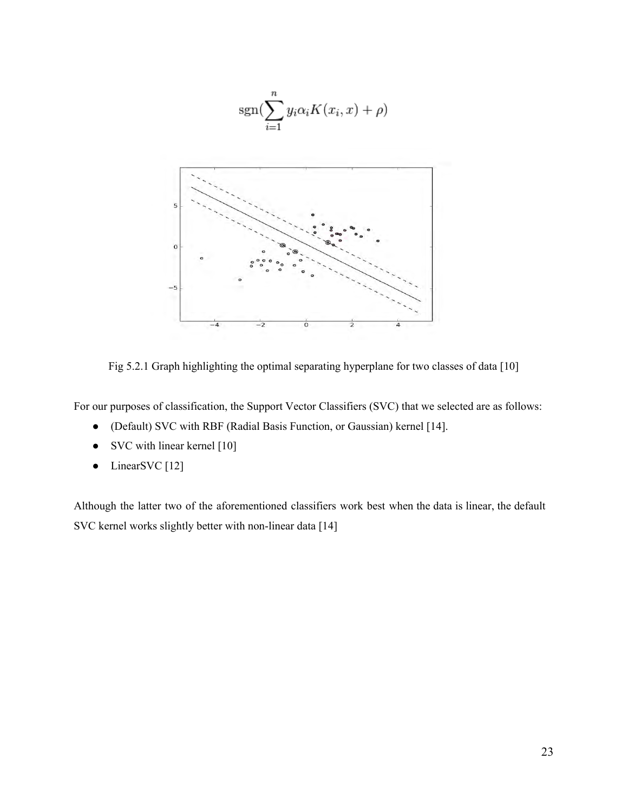

Fig 5.2.1 Graph highlighting the optimal separating hyperplane for two classes of data [10]

For our purposes of classification, the Support Vector Classifiers (SVC) that we selected are as follows:

- (Default) SVC with RBF (Radial Basis Function, or Gaussian) kernel [14].
- SVC with linear kernel [10]
- LinearSVC [12]

Although the latter two of the aforementioned classifiers work best when the data is linear, the default SVC kernel works slightly better with non-linear data [14]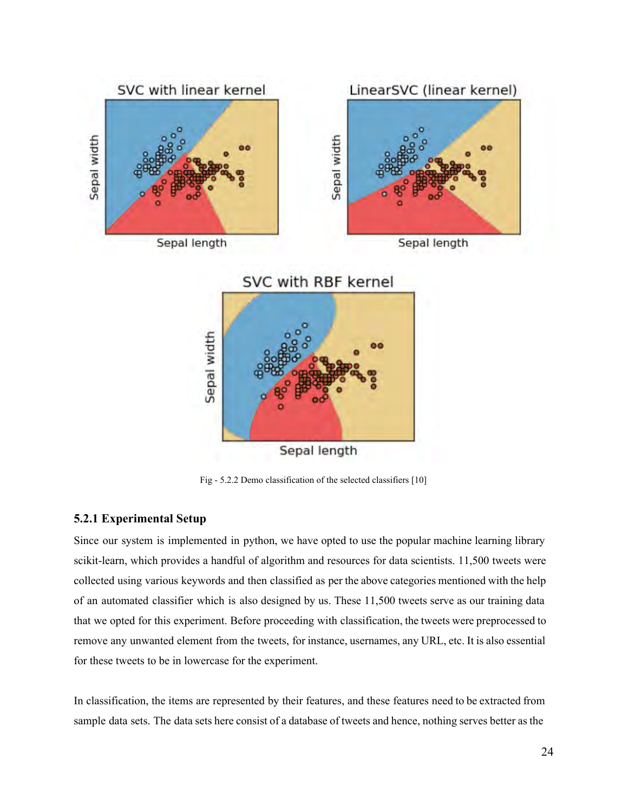

Sepal length

Fig - 5.2.2 Demo classification of the selected classifiers [10]

#### **5.2.1 Experimental Setup**

Since our system is implemented in python, we have opted to use the popular machine learning library scikit-learn, which provides a handful of algorithm and resources for data scientists. 11,500 tweets were collected using various keywords and then classified as per the above categories mentioned with the help of an automated classifier which is also designed by us. These 11,500 tweets serve as our training data that we opted for this experiment. Before proceeding with classification, the tweets were preprocessed to remove any unwanted element from the tweets, for instance, usernames, any URL, etc. It is also essential for these tweets to be in lowercase for the experiment.

In classification, the items are represented by their features, and these features need to be extracted from sample data sets. The data sets here consist of a database of tweets and hence, nothing serves better as the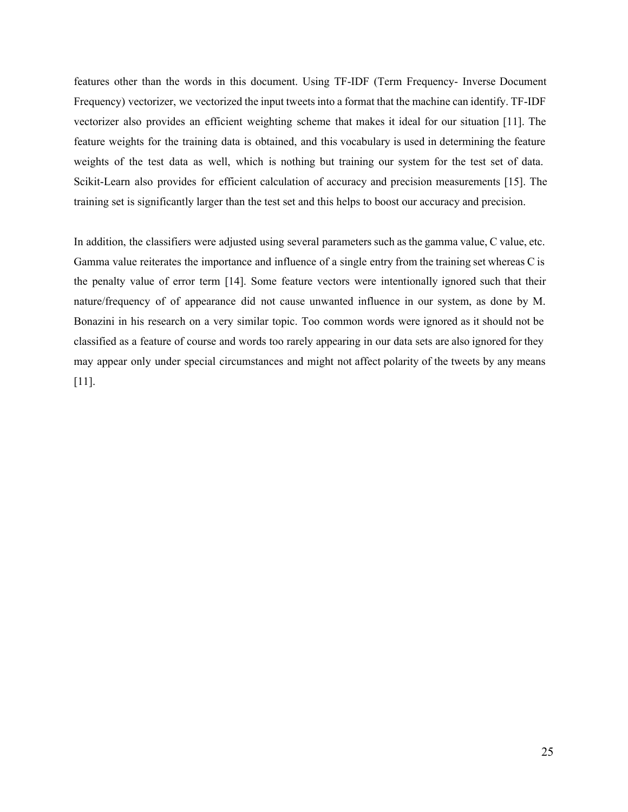features other than the words in this document. Using TF-IDF (Term Frequency- Inverse Document Frequency) vectorizer, we vectorized the input tweets into a format that the machine can identify. TF-IDF vectorizer also provides an efficient weighting scheme that makes it ideal for our situation [11]. The feature weights for the training data is obtained, and this vocabulary is used in determining the feature weights of the test data as well, which is nothing but training our system for the test set of data. Scikit-Learn also provides for efficient calculation of accuracy and precision measurements [15]. The training set is significantly larger than the test set and this helps to boost our accuracy and precision.

In addition, the classifiers were adjusted using several parameters such as the gamma value, C value, etc. Gamma value reiterates the importance and influence of a single entry from the training set whereas C is the penalty value of error term [14]. Some feature vectors were intentionally ignored such that their nature/frequency of of appearance did not cause unwanted influence in our system, as done by M. Bonazini in his research on a very similar topic. Too common words were ignored as it should not be classified as a feature of course and words too rarely appearing in our data sets are also ignored for they may appear only under special circumstances and might not affect polarity of the tweets by any means [11].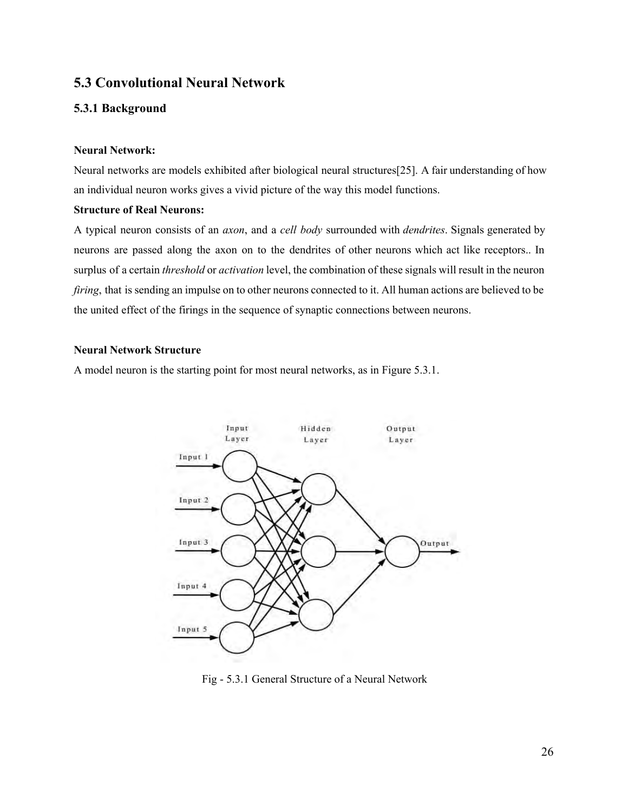## **5.3 Convolutional Neural Network**

#### **5.3.1 Background**

#### **Neural Network:**

Neural networks are models exhibited after biological neural structures[25]. A fair understanding of how an individual neuron works gives a vivid picture of the way this model functions.

#### **Structure of Real Neurons:**

A typical neuron consists of an *axon*, and a *cell body* surrounded with *dendrites*. Signals generated by neurons are passed along the axon on to the dendrites of other neurons which act like receptors.. In surplus of a certain *threshold* or *activation* level, the combination of these signals will result in the neuron *firing*, that is sending an impulse on to other neurons connected to it. All human actions are believed to be the united effect of the firings in the sequence of synaptic connections between neurons.

#### **Neural Network Structure**

A model neuron is the starting point for most neural networks, as in Figure 5.3.1.



Fig - 5.3.1 General Structure of a Neural Network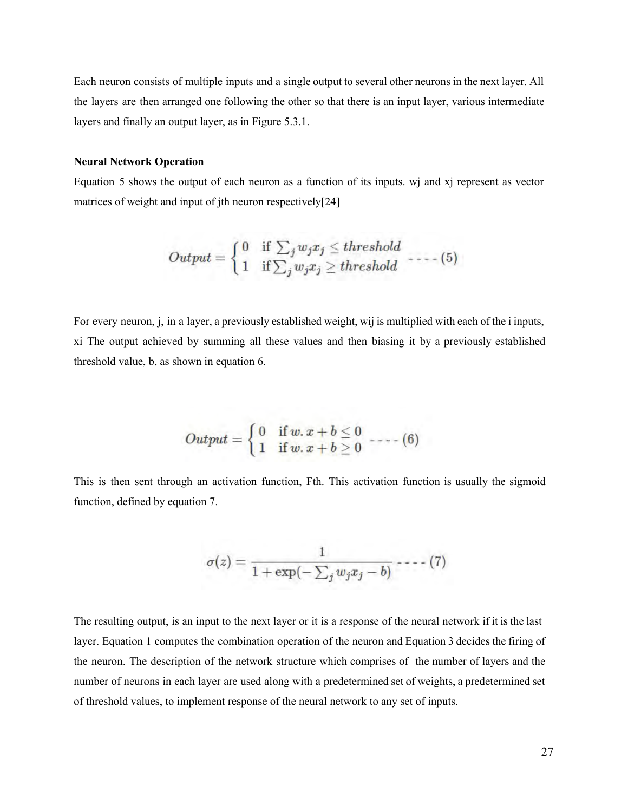Each neuron consists of multiple inputs and a single output to several other neurons in the next layer. All the layers are then arranged one following the other so that there is an input layer, various intermediate layers and finally an output layer, as in Figure 5.3.1.

#### **Neural Network Operation**

Equation 5 shows the output of each neuron as a function of its inputs. wj and xj represent as vector matrices of weight and input of jth neuron respectively[24]

$$
Output = \begin{cases} 0 & \text{if } \sum_j w_j x_j \le threshold \\ 1 & \text{if } \sum_j w_j x_j \ge threshold \end{cases} \text{---}(5)
$$

For every neuron, j, in a layer, a previously established weight, wij is multiplied with each of the i inputs, xi The output achieved by summing all these values and then biasing it by a previously established threshold value, b, as shown in equation 6.

$$
Output = \begin{cases} 0 & \text{if } w.x + b \leq 0 \\ 1 & \text{if } w.x + b \geq 0 \end{cases} \text{---}(6)
$$

This is then sent through an activation function, Fth. This activation function is usually the sigmoid function, defined by equation 7.

$$
\sigma(z) = \frac{1}{1+\exp(-\sum_j w_j x_j - b)} \cdots (7)
$$

The resulting output, is an input to the next layer or it is a response of the neural network if it is the last layer. Equation 1 computes the combination operation of the neuron and Equation 3 decides the firing of the neuron. The description of the network structure which comprises of the number of layers and the number of neurons in each layer are used along with a predetermined set of weights, a predetermined set of threshold values, to implement response of the neural network to any set of inputs.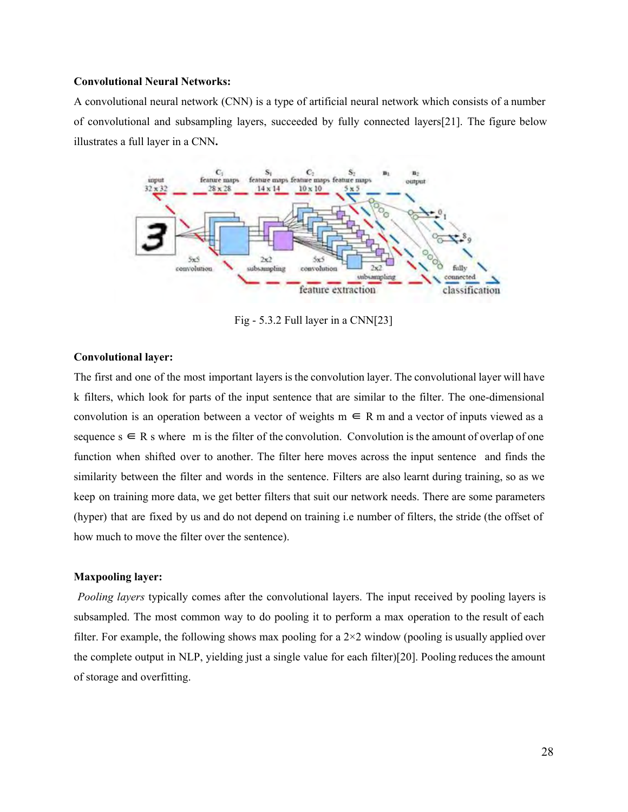#### **Convolutional Neural Networks:**

A convolutional neural network (CNN) is a type of artificial neural network which consists of a number of convolutional and subsampling layers, succeeded by fully connected layers[21]. The figure below illustrates a full layer in a CNN**.**



Fig  $-5.3.2$  Full layer in a CNN[23]

#### **Convolutional layer:**

The first and one of the most important layers is the convolution layer. The convolutional layer will have k filters, which look for parts of the input sentence that are similar to the filter. The one-dimensional convolution is an operation between a vector of weights  $m \in R$  m and a vector of inputs viewed as a sequence  $s \in R$  s where m is the filter of the convolution. Convolution is the amount of overlap of one function when shifted over to another. The filter here moves across the input sentence and finds the similarity between the filter and words in the sentence. Filters are also learnt during training, so as we keep on training more data, we get better filters that suit our network needs. There are some parameters (hyper) that are fixed by us and do not depend on training i.e number of filters, the stride (the offset of how much to move the filter over the sentence).

#### **Maxpooling layer:**

*Pooling layers* typically comes after the convolutional layers. The input received by pooling layers is subsampled. The most common way to do pooling it to perform a max operation to the result of each filter. For example, the following shows max pooling for a  $2\times 2$  window (pooling is usually applied over the complete output in NLP, yielding just a single value for each filter)[20]. Pooling reduces the amount of storage and overfitting.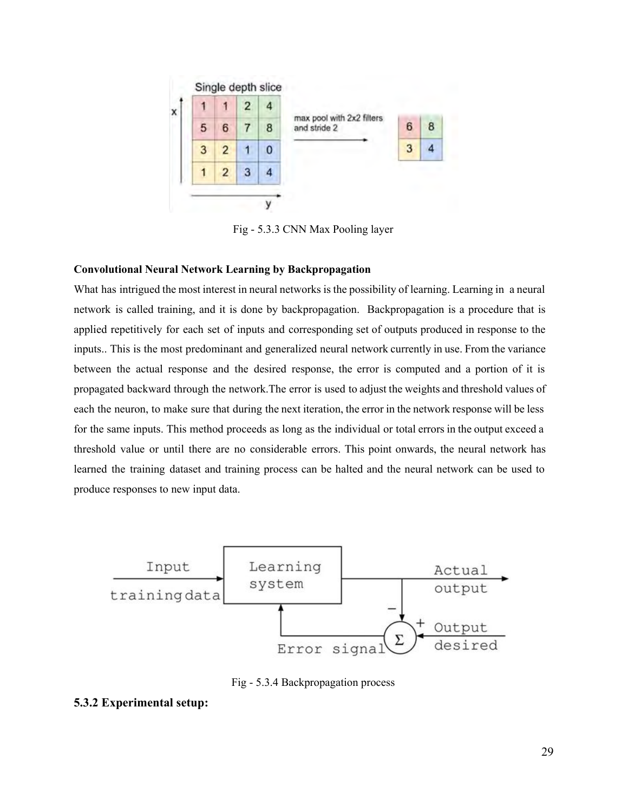

Fig - 5.3.3 CNN Max Pooling layer

#### **Convolutional Neural Network Learning by Backpropagation**

What has intrigued the most interest in neural networks is the possibility of learning. Learning in a neural network is called training, and it is done by backpropagation. Backpropagation is a procedure that is applied repetitively for each set of inputs and corresponding set of outputs produced in response to the inputs.. This is the most predominant and generalized neural network currently in use. From the variance between the actual response and the desired response, the error is computed and a portion of it is propagated backward through the network.The error is used to adjust the weights and threshold values of each the neuron, to make sure that during the next iteration, the error in the network response will be less for the same inputs. This method proceeds as long as the individual or total errors in the output exceed a threshold value or until there are no considerable errors. This point onwards, the neural network has learned the training dataset and training process can be halted and the neural network can be used to produce responses to new input data.



Fig - 5.3.4 Backpropagation process

#### **5.3.2 Experimental setup:**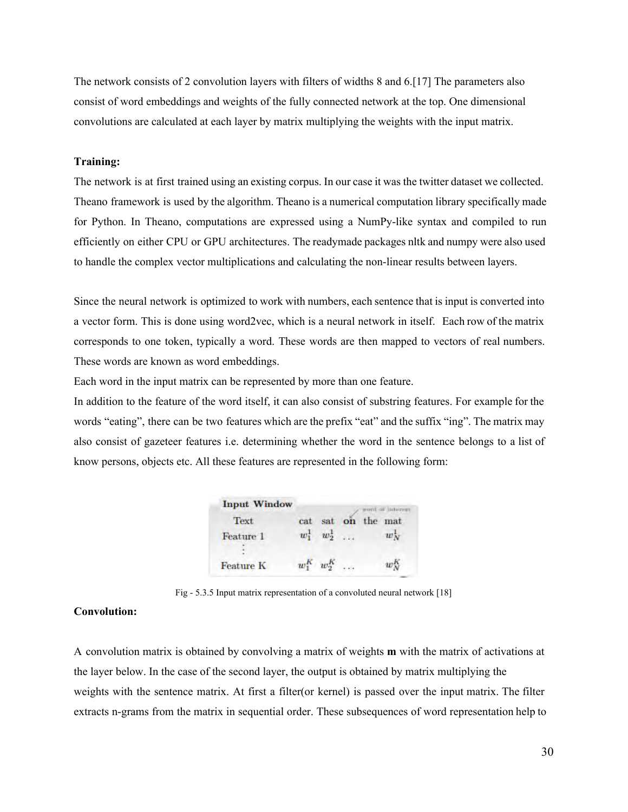The network consists of 2 convolution layers with filters of widths 8 and 6.[17] The parameters also consist of word embeddings and weights of the fully connected network at the top. One dimensional convolutions are calculated at each layer by matrix multiplying the weights with the input matrix.

#### **Training:**

The network is at first trained using an existing corpus. In our case it was the twitter dataset we collected. Theano framework is used by the algorithm. Theano is a numerical computation library specifically made for Python. In Theano, computations are expressed using a NumPy-like syntax and compiled to run efficiently on either CPU or GPU architectures. The readymade packages nltk and numpy were also used to handle the complex vector multiplications and calculating the non-linear results between layers.

Since the neural network is optimized to work with numbers, each sentence that is input is converted into a vector form. This is done using word2vec, which is a neural network in itself. Each row of the matrix corresponds to one token, typically a word. These words are then mapped to vectors of real numbers. These words are known as word embeddings.

Each word in the input matrix can be represented by more than one feature.

In addition to the feature of the word itself, it can also consist of substring features. For example for the words "eating", there can be two features which are the prefix "eat" and the suffix "ing". The matrix may also consist of gazeteer features i.e. determining whether the word in the sentence belongs to a list of know persons, objects etc. All these features are represented in the following form:

| <b>Input Window</b> |              |                 |    |     | of interest |
|---------------------|--------------|-----------------|----|-----|-------------|
| Text                | cat          | sat             | on | the | mat         |
| Feature 1           | $w_{\tau}^1$ | $w_2^1$         |    |     | $w_{N}$     |
| <b>Feature K</b>    |              | $w_1^K$ $w_2^K$ |    |     | $w$ .       |

Fig - 5.3.5 Input matrix representation of a convoluted neural network [18]

#### **Convolution:**

A convolution matrix is obtained by convolving a matrix of weights **m** with the matrix of activations at the layer below. In the case of the second layer, the output is obtained by matrix multiplying the weights with the sentence matrix. At first a filter(or kernel) is passed over the input matrix. The filter extracts n-grams from the matrix in sequential order. These subsequences of word representation help to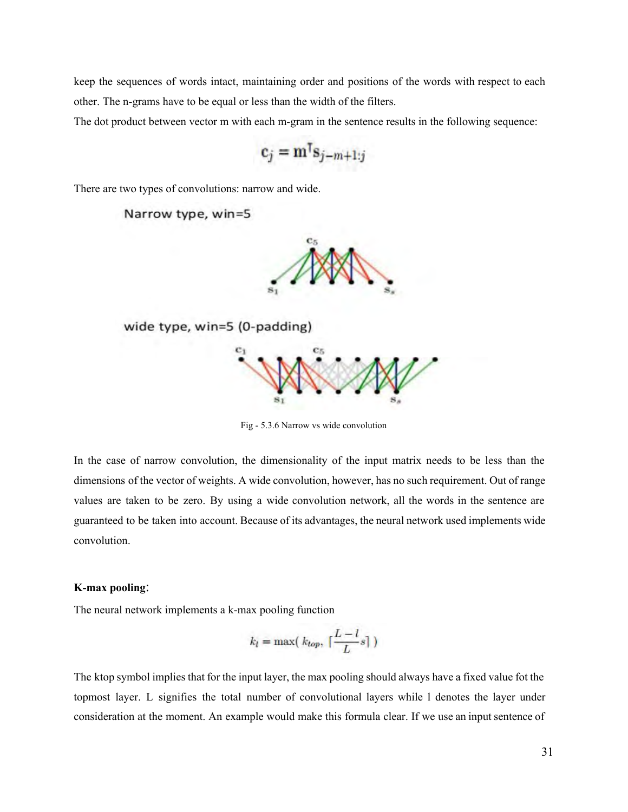keep the sequences of words intact, maintaining order and positions of the words with respect to each other. The n-grams have to be equal or less than the width of the filters.

The dot product between vector m with each m-gram in the sentence results in the following sequence:

$$
\mathbf{c}_j = \mathbf{m}^{\mathsf{T}} \mathbf{s}_{j-m+1:j}
$$

There are two types of convolutions: narrow and wide.

Narrow type, win=5



wide type, win=5 (0-padding)



Fig - 5.3.6 Narrow vs wide convolution

In the case of narrow convolution, the dimensionality of the input matrix needs to be less than the dimensions of the vector of weights. A wide convolution, however, has no such requirement. Out of range values are taken to be zero. By using a wide convolution network, all the words in the sentence are guaranteed to be taken into account. Because of its advantages, the neural network used implements wide convolution.

#### **K-max pooling:**

The neural network implements a k-max pooling function

$$
k_l=\max\bigl(\;k_{top},\;\lceil\frac{L-l}{L}s\rceil\;\bigr)
$$

The ktop symbol implies that for the input layer, the max pooling should always have a fixed value fot the topmost layer. L signifies the total number of convolutional layers while l denotes the layer under consideration at the moment. An example would make this formula clear. If we use an input sentence of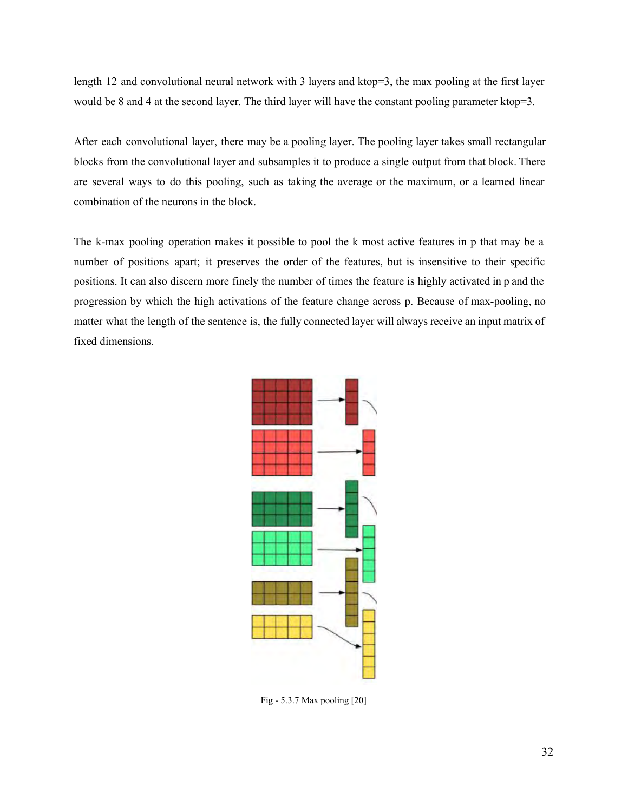length 12 and convolutional neural network with 3 layers and ktop=3, the max pooling at the first layer would be 8 and 4 at the second layer. The third layer will have the constant pooling parameter ktop=3.

After each convolutional layer, there may be a pooling layer. The pooling layer takes small rectangular blocks from the convolutional layer and subsamples it to produce a single output from that block. There are several ways to do this pooling, such as taking the average or the maximum, or a learned linear combination of the neurons in the block.

The k-max pooling operation makes it possible to pool the k most active features in p that may be a number of positions apart; it preserves the order of the features, but is insensitive to their specific positions. It can also discern more finely the number of times the feature is highly activated in p and the progression by which the high activations of the feature change across p. Because of max-pooling, no matter what the length of the sentence is, the fully connected layer will always receive an input matrix of fixed dimensions.



Fig -  $5.3.7$  Max pooling  $[20]$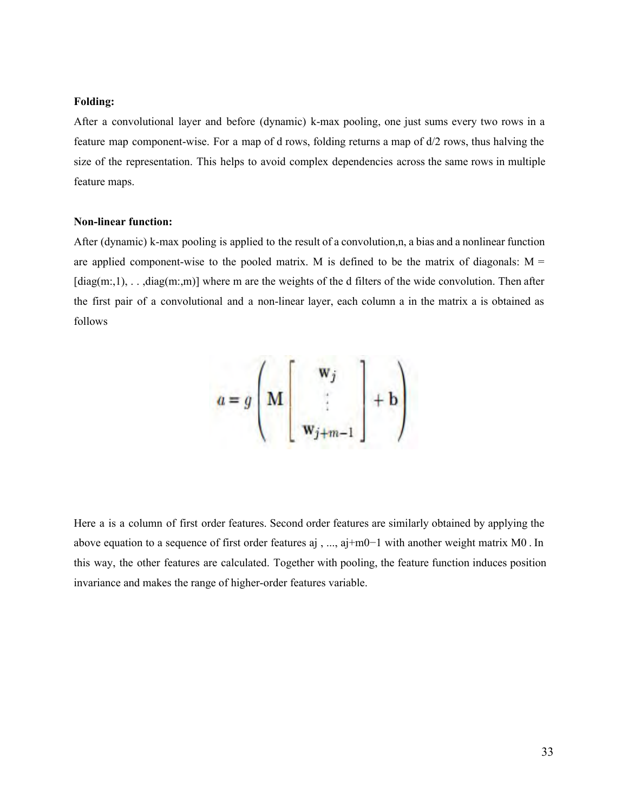#### **Folding:**

After a convolutional layer and before (dynamic) k-max pooling, one just sums every two rows in a feature map component-wise. For a map of d rows, folding returns a map of d/2 rows, thus halving the size of the representation. This helps to avoid complex dependencies across the same rows in multiple feature maps.

#### **Non-linear function:**

After (dynamic) k-max pooling is applied to the result of a convolution,n, a bias and a nonlinear function are applied component-wise to the pooled matrix. M is defined to be the matrix of diagonals:  $M =$  $[diag(m,1), \ldots, diag(m,m)]$  where m are the weights of the d filters of the wide convolution. Then after the first pair of a convolutional and a non-linear layer, each column a in the matrix a is obtained as follows

$$
a = g \left( \mathbf{M} \begin{bmatrix} \mathbf{w}_j \\ \vdots \\ \mathbf{w}_{j+m-1} \end{bmatrix} + \mathbf{b} \right)
$$

Here a is a column of first order features. Second order features are similarly obtained by applying the above equation to a sequence of first order features aj , ..., aj+m0−1 with another weight matrix M0 . In this way, the other features are calculated. Together with pooling, the feature function induces position invariance and makes the range of higher-order features variable.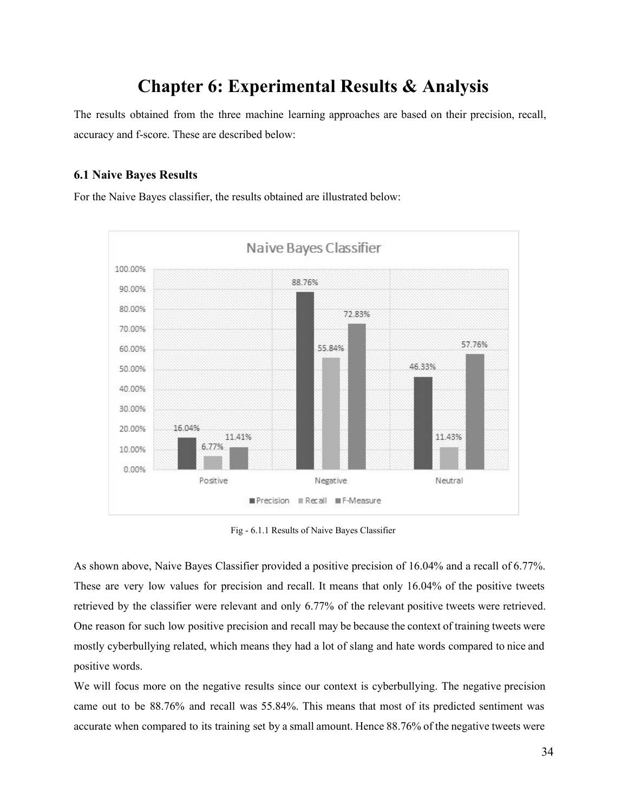# **Chapter 6: Experimental Results & Analysis**

The results obtained from the three machine learning approaches are based on their precision, recall, accuracy and f-score. These are described below:

#### **6.1 Naive Bayes Results**

For the Naive Bayes classifier, the results obtained are illustrated below:



Fig 6.1.1 Results of Naive Bayes Classifier

As shown above, Naive Bayes Classifier provided a positive precision of 16.04% and a recall of 6.77%. These are very low values for precision and recall. It means that only 16.04% of the positive tweets retrieved by the classifier were relevant and only 6.77% of the relevant positive tweets were retrieved. One reason for such low positive precision and recall may be because the context of training tweets were mostly cyberbullying related, which means they had a lot of slang and hate words compared to nice and positive words.

We will focus more on the negative results since our context is cyberbullying. The negative precision came out to be 88.76% and recall was 55.84%. This means that most of its predicted sentiment was accurate when compared to its training set by a small amount. Hence 88.76% of the negative tweets were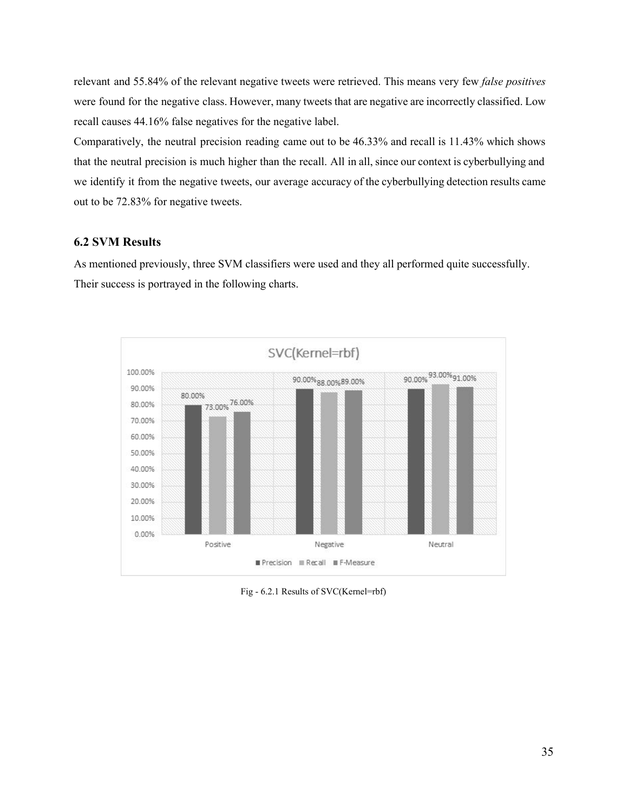relevant and 55.84% of the relevant negative tweets were retrieved. This means very few *false positives* were found for the negative class. However, many tweets that are negative are incorrectly classified. Low recall causes 44.16% false negatives for the negative label.

Comparatively, the neutral precision reading came out to be 46.33% and recall is 11.43% which shows that the neutral precision is much higher than the recall. All in all, since our context is cyberbullying and we identify it from the negative tweets, our average accuracy of the cyberbullying detection results came out to be 72.83% for negative tweets.

#### **6.2 SVM Results**

As mentioned previously, three SVM classifiers were used and they all performed quite successfully. Their success is portrayed in the following charts.



Fig - 6.2.1 Results of SVC(Kernel=rbf)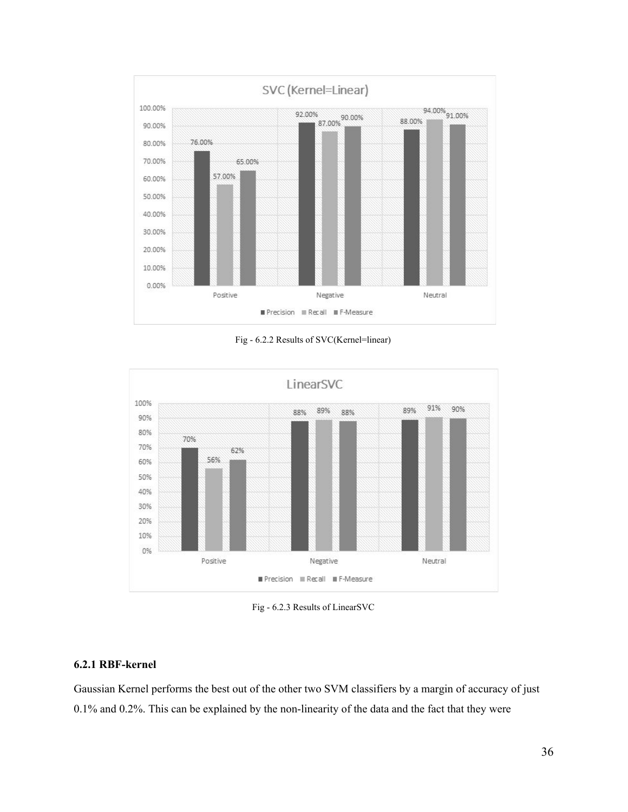

Fig 6.2.2 Results of SVC(Kernel=linear)



Fig - 6.2.3 Results of LinearSVC

#### **6.2.1 RBF-kernel**

Gaussian Kernel performs the best out of the other two SVM classifiers by a margin of accuracy of just  $0.1\%$  and  $0.2\%$ . This can be explained by the non-linearity of the data and the fact that they were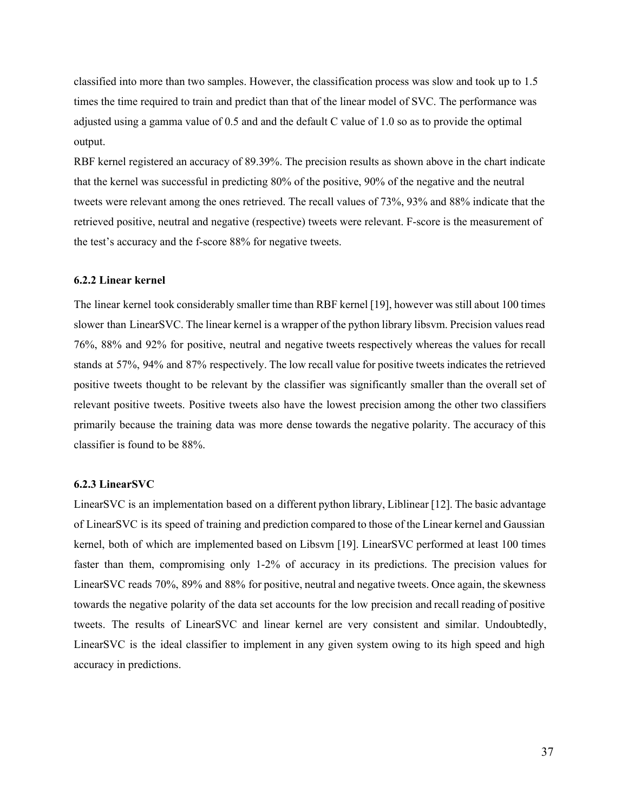classified into more than two samples. However, the classification process was slow and took up to 1.5 times the time required to train and predict than that of the linear model of SVC. The performance was adjusted using a gamma value of 0.5 and and the default C value of 1.0 so as to provide the optimal output.

RBF kernel registered an accuracy of 89.39%. The precision results as shown above in the chart indicate that the kernel was successful in predicting 80% of the positive, 90% of the negative and the neutral tweets were relevant among the ones retrieved. The recall values of 73%, 93% and 88% indicate that the retrieved positive, neutral and negative (respective) tweets were relevant. F-score is the measurement of the test's accuracy and the f-score 88% for negative tweets.

#### **6.2.2 Linear kernel**

The linear kernel took considerably smaller time than RBF kernel [19], however was still about 100 times slower than LinearSVC. The linear kernel is a wrapper of the python library libsvm. Precision values read 76%, 88% and 92% for positive, neutral and negative tweets respectively whereas the values for recall stands at 57%, 94% and 87% respectively. The low recall value for positive tweets indicates the retrieved positive tweets thought to be relevant by the classifier was significantly smaller than the overall set of relevant positive tweets. Positive tweets also have the lowest precision among the other two classifiers primarily because the training data was more dense towards the negative polarity. The accuracy of this classifier is found to be 88%.

#### **6.2.3 LinearSVC**

LinearSVC is an implementation based on a different python library, Liblinear [12]. The basic advantage of LinearSVC is its speed of training and prediction compared to those of the Linear kernel and Gaussian kernel, both of which are implemented based on Libsvm [19]. LinearSVC performed at least 100 times faster than them, compromising only 1-2% of accuracy in its predictions. The precision values for LinearSVC reads 70%, 89% and 88% for positive, neutral and negative tweets. Once again, the skewness towards the negative polarity of the data set accounts for the low precision and recall reading of positive tweets. The results of LinearSVC and linear kernel are very consistent and similar. Undoubtedly, LinearSVC is the ideal classifier to implement in any given system owing to its high speed and high accuracy in predictions.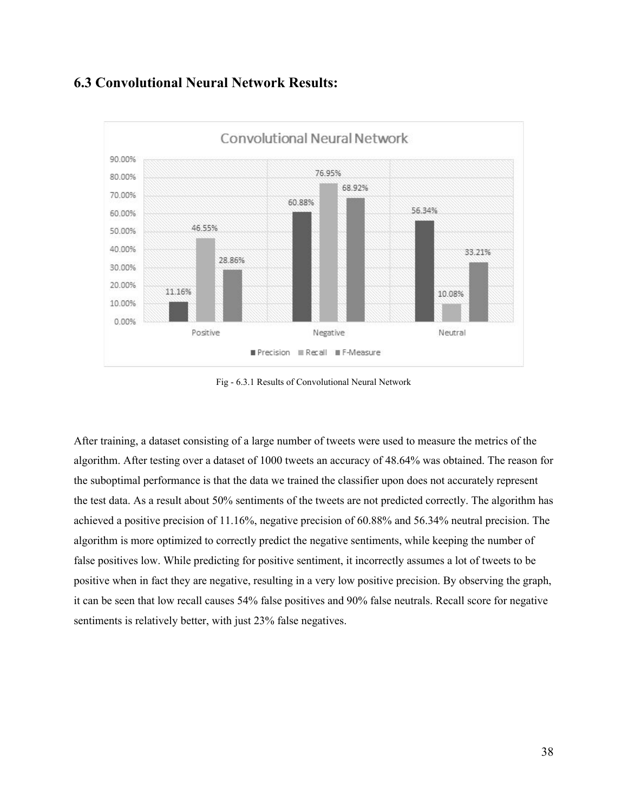## **6.3 Convolutional Neural Network Results:**



Fig 6.3.1 Results of Convolutional Neural Network

After training, a dataset consisting of a large number of tweets were used to measure the metrics of the algorithm. After testing over a dataset of 1000 tweets an accuracy of 48.64% was obtained. The reason for the suboptimal performance is that the data we trained the classifier upon does not accurately represent the test data. As a result about 50% sentiments of the tweets are not predicted correctly. The algorithm has achieved a positive precision of 11.16%, negative precision of 60.88% and 56.34% neutral precision. The algorithm is more optimized to correctly predict the negative sentiments, while keeping the number of false positives low. While predicting for positive sentiment, it incorrectly assumes a lot of tweets to be positive when in fact they are negative, resulting in a very low positive precision. By observing the graph, it can be seen that low recall causes 54% false positives and 90% false neutrals. Recall score for negative sentiments is relatively better, with just 23% false negatives.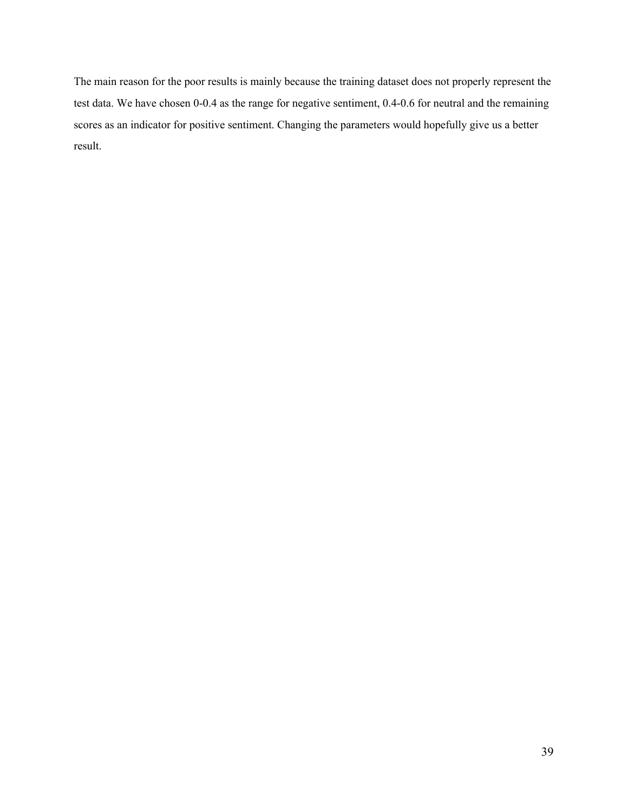The main reason for the poor results is mainly because the training dataset does not properly represent the test data. We have chosen 0-0.4 as the range for negative sentiment, 0.4-0.6 for neutral and the remaining scores as an indicator for positive sentiment. Changing the parameters would hopefully give us a better result.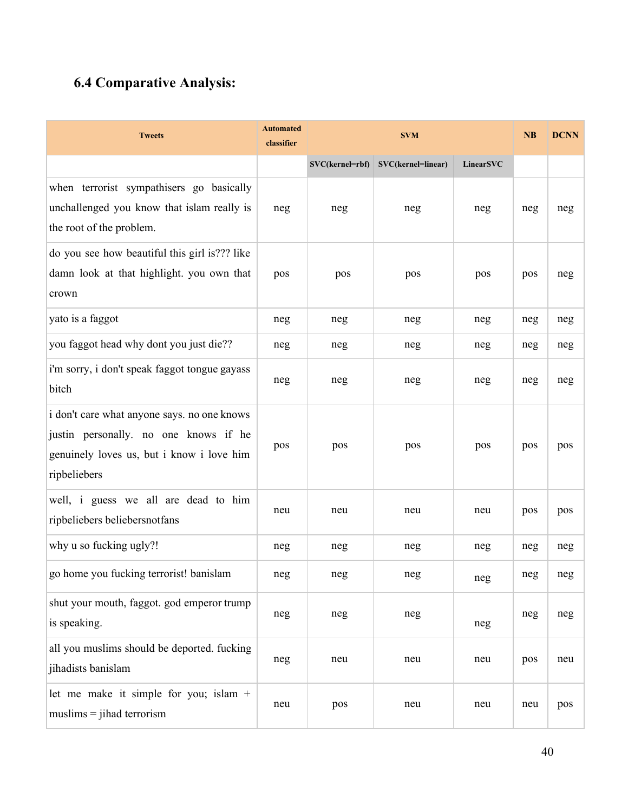# **6.4 Comparative Analysis:**

| <b>Tweets</b>                                                                                                                                     | <b>Automated</b><br>classifier | <b>SVM</b>      |                    |                  | <b>NB</b> | <b>DCNN</b> |
|---------------------------------------------------------------------------------------------------------------------------------------------------|--------------------------------|-----------------|--------------------|------------------|-----------|-------------|
|                                                                                                                                                   |                                | SVC(kernel=rbf) | SVC(kernel=linear) | <b>LinearSVC</b> |           |             |
| when terrorist sympathisers go basically<br>unchallenged you know that islam really is<br>the root of the problem.                                | neg                            | neg             | neg                | neg              | neg       | neg         |
| do you see how beautiful this girl is??? like<br>damn look at that highlight. you own that<br>crown                                               | pos                            | pos             | pos                | pos              | pos       | neg         |
| yato is a faggot                                                                                                                                  | neg                            | neg             | neg                | neg              | neg       | neg         |
| you faggot head why dont you just die??                                                                                                           | neg                            | neg             | neg                | neg              | neg       | neg         |
| i'm sorry, i don't speak faggot tongue gayass<br>bitch                                                                                            | neg                            | neg             | neg                | neg              | neg       | neg         |
| i don't care what anyone says. no one knows<br>justin personally. no one knows if he<br>genuinely loves us, but i know i love him<br>ripbeliebers | pos                            | pos             | pos                | pos              | pos       | pos         |
| well, i guess we all are dead to him<br>ripbeliebers beliebersnotfans                                                                             | neu                            | neu             | neu                | neu              | pos       | pos         |
| why u so fucking ugly?!                                                                                                                           | neg                            | neg             | neg                | neg              | neg       | neg         |
| go home you fucking terrorist! banislam                                                                                                           | neg                            | neg             | neg                | neg              | neg       | neg         |
| shut your mouth, faggot. god emperor trump<br>is speaking.                                                                                        | neg                            | neg             | neg                | neg              | neg       | neg         |
| all you muslims should be deported. fucking<br>jihadists banislam                                                                                 | neg                            | neu             | neu                | neu              | pos       | neu         |
| let me make it simple for you; islam $+$<br>$muslims = jihad$ terrorism                                                                           | neu                            | pos             | neu                | neu              | neu       | pos         |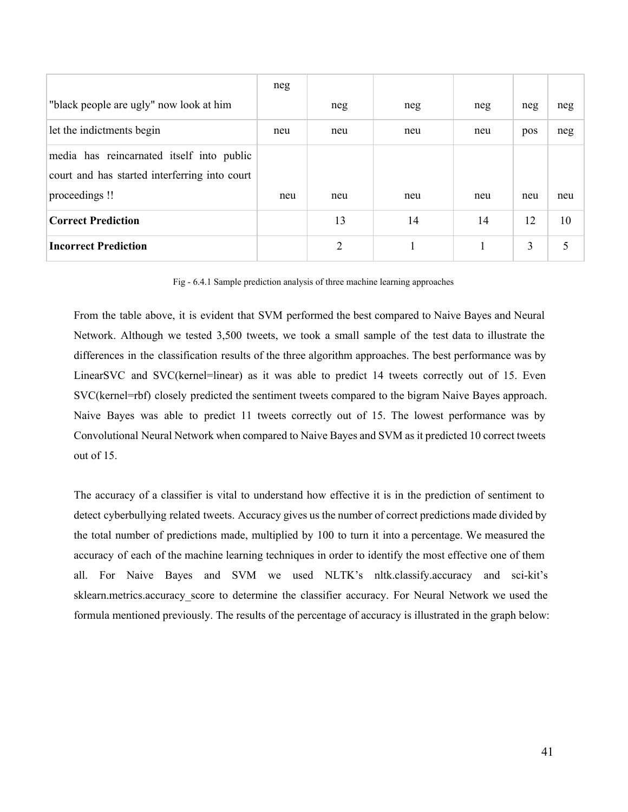|                                               | neg |     |     |     |     |     |
|-----------------------------------------------|-----|-----|-----|-----|-----|-----|
| "black people are ugly" now look at him       |     | neg | neg | neg | neg | neg |
| let the indictments begin                     | neu | neu | neu | neu | pos | neg |
| media has reincarnated itself into public     |     |     |     |     |     |     |
| court and has started interferring into court |     |     |     |     |     |     |
| proceedings!                                  | neu | neu | neu | neu | neu | neu |
| <b>Correct Prediction</b>                     |     | 13  | 14  | 14  | 12  | 10  |
| <b>Incorrect Prediction</b>                   |     | 2   |     |     | 3   |     |

Fig 6.4.1 Sample prediction analysis of three machine learning approaches

From the table above, it is evident that SVM performed the best compared to Naive Bayes and Neural Network. Although we tested 3,500 tweets, we took a small sample of the test data to illustrate the differences in the classification results of the three algorithm approaches. The best performance was by LinearSVC and SVC(kernel=linear) as it was able to predict 14 tweets correctly out of 15. Even SVC(kernel=rbf) closely predicted the sentiment tweets compared to the bigram Naive Bayes approach. Naive Bayes was able to predict 11 tweets correctly out of 15. The lowest performance was by Convolutional Neural Network when compared to Naive Bayes and SVM as it predicted 10 correct tweets out of 15.

The accuracy of a classifier is vital to understand how effective it is in the prediction of sentiment to detect cyberbullying related tweets. Accuracy gives us the number of correct predictions made divided by the total number of predictions made, multiplied by 100 to turn it into a percentage. We measured the accuracy of each of the machine learning techniques in order to identify the most effective one of them all. For Naive Bayes and SVM we used NLTK's nltk.classify.accuracy and sci-kit's sklearn.metrics.accuracy score to determine the classifier accuracy. For Neural Network we used the formula mentioned previously. The results of the percentage of accuracy is illustrated in the graph below: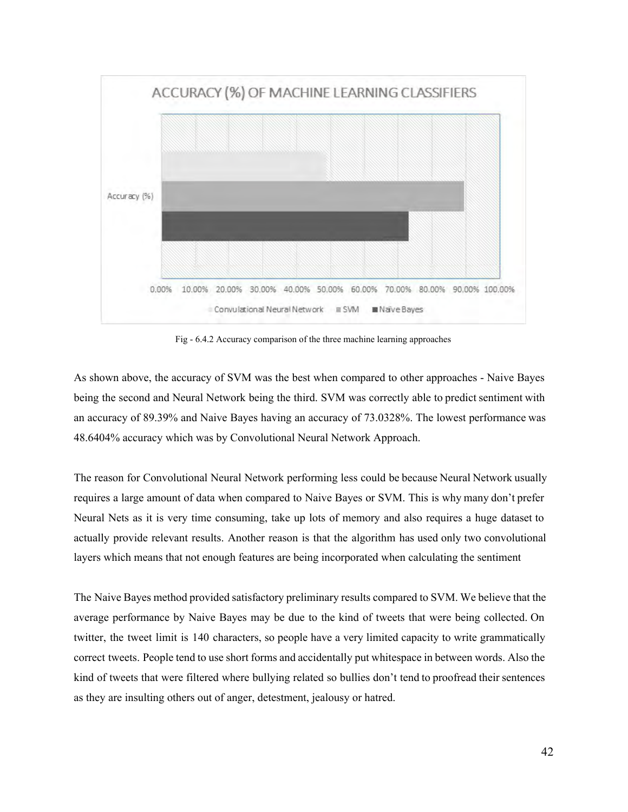

Fig 6.4.2 Accuracy comparison of the three machine learning approaches

As shown above, the accuracy of SVM was the best when compared to other approaches - Naive Bayes being the second and Neural Network being the third. SVM was correctly able to predict sentiment with an accuracy of 89.39% and Naive Bayes having an accuracy of 73.0328%. The lowest performance was 48.6404% accuracy which was by Convolutional Neural Network Approach.

The reason for Convolutional Neural Network performing less could be because Neural Network usually requires a large amount of data when compared to Naive Bayes or SVM. This is why many don't prefer Neural Nets as it is very time consuming, take up lots of memory and also requires a huge dataset to actually provide relevant results. Another reason is that the algorithm has used only two convolutional layers which means that not enough features are being incorporated when calculating the sentiment

The Naive Bayes method provided satisfactory preliminary results compared to SVM. We believe that the average performance by Naive Bayes may be due to the kind of tweets that were being collected. On twitter, the tweet limit is 140 characters, so people have a very limited capacity to write grammatically correct tweets. People tend to use short forms and accidentally put whitespace in between words. Also the kind of tweets that were filtered where bullying related so bullies don't tend to proofread their sentences as they are insulting others out of anger, detestment, jealousy or hatred.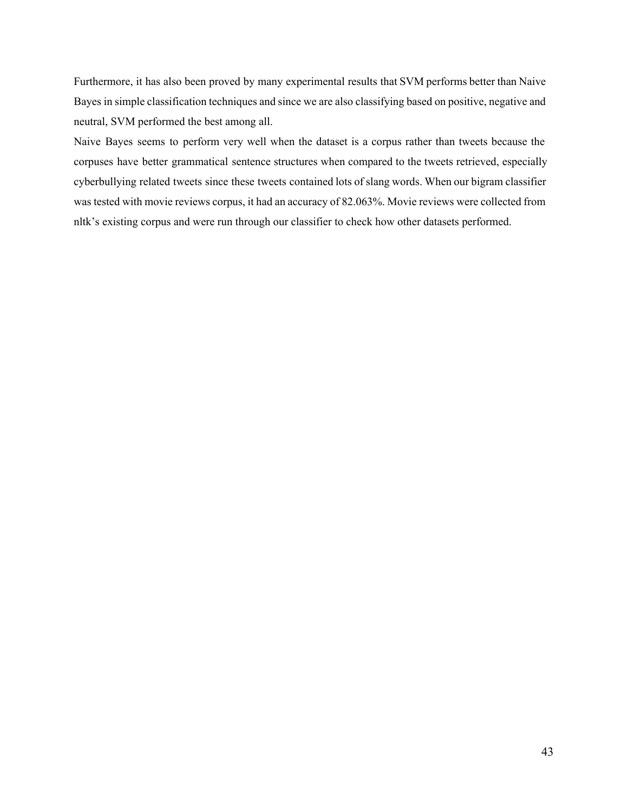Furthermore, it has also been proved by many experimental results that SVM performs better than Naive Bayes in simple classification techniques and since we are also classifying based on positive, negative and neutral, SVM performed the best among all.

Naive Bayes seems to perform very well when the dataset is a corpus rather than tweets because the corpuses have better grammatical sentence structures when compared to the tweets retrieved, especially cyberbullying related tweets since these tweets contained lots of slang words. When our bigram classifier was tested with movie reviews corpus, it had an accuracy of 82.063%. Movie reviews were collected from nltk's existing corpus and were run through our classifier to check how other datasets performed.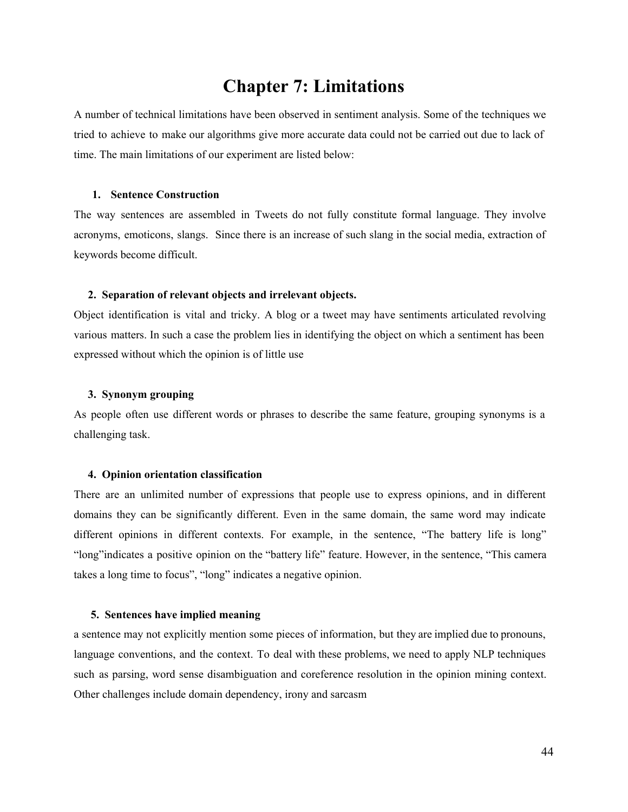# **Chapter 7: Limitations**

A number of technical limitations have been observed in sentiment analysis. Some of the techniques we tried to achieve to make our algorithms give more accurate data could not be carried out due to lack of time. The main limitations of our experiment are listed below:

#### **1. Sentence Construction**

The way sentences are assembled in Tweets do not fully constitute formal language. They involve acronyms, emoticons, slangs. Since there is an increase of such slang in the social media, extraction of keywords become difficult.

#### **2. Separation of relevant objects and irrelevant objects.**

Object identification is vital and tricky. A blog or a tweet may have sentiments articulated revolving various matters. In such a case the problem lies in identifying the object on which a sentiment has been expressed without which the opinion is of little use

#### **3. Synonym grouping**

As people often use different words or phrases to describe the same feature, grouping synonyms is a challenging task.

#### **4. Opinion orientation classification**

There are an unlimited number of expressions that people use to express opinions, and in different domains they can be significantly different. Even in the same domain, the same word may indicate different opinions in different contexts. For example, in the sentence, "The battery life is long" "long"indicates a positive opinion on the "battery life" feature. However, in the sentence, "This camera takes a long time to focus", "long" indicates a negative opinion.

#### **5. Sentences have implied meaning**

a sentence may not explicitly mention some pieces of information, but they are implied due to pronouns, language conventions, and the context. To deal with these problems, we need to apply NLP techniques such as parsing, word sense disambiguation and coreference resolution in the opinion mining context. Other challenges include domain dependency, irony and sarcasm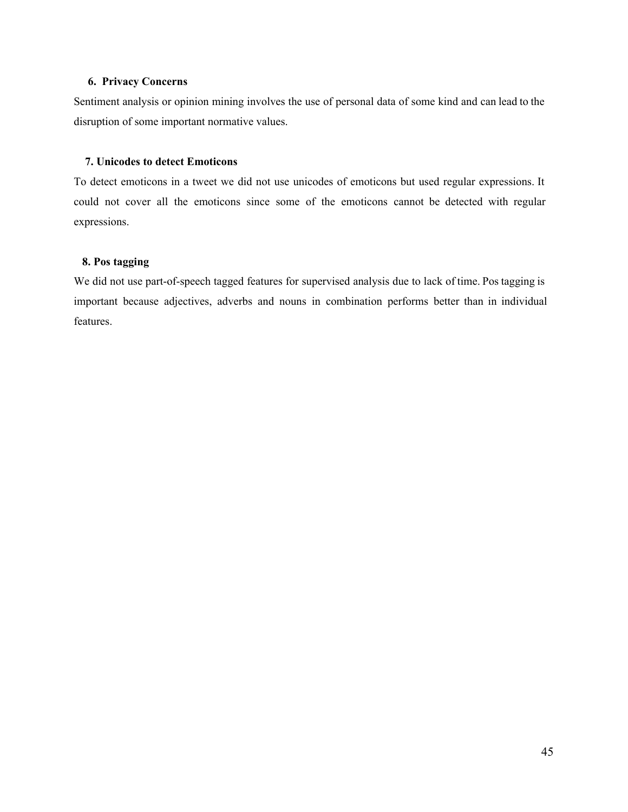#### **6. Privacy Concerns**

Sentiment analysis or opinion mining involves the use of personal data of some kind and can lead to the disruption of some important normative values.

#### **7. Unicodes to detect Emoticons**

To detect emoticons in a tweet we did not use unicodes of emoticons but used regular expressions. It could not cover all the emoticons since some of the emoticons cannot be detected with regular expressions.

#### **8. Pos tagging**

We did not use part-of-speech tagged features for supervised analysis due to lack of time. Pos tagging is important because adjectives, adverbs and nouns in combination performs better than in individual features.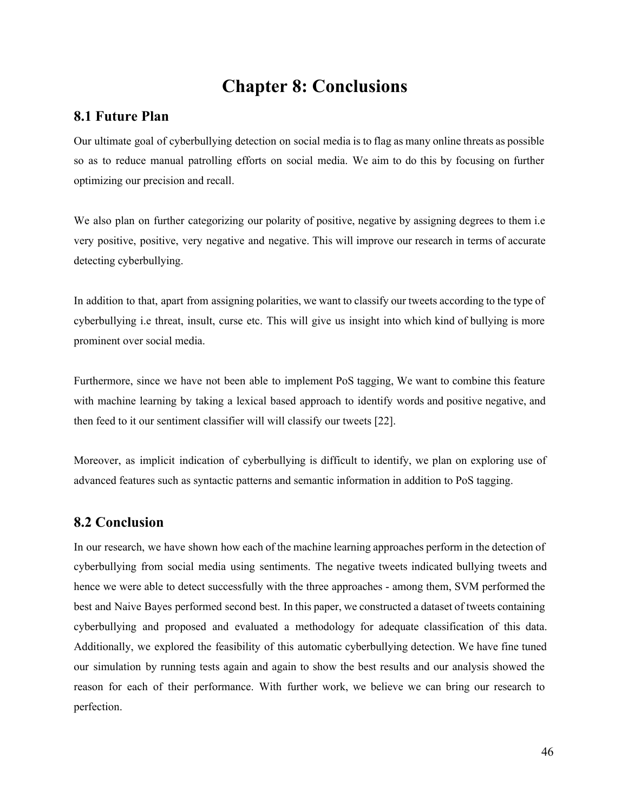# **Chapter 8: Conclusions**

### **8.1 Future Plan**

Our ultimate goal of cyberbullying detection on social media is to flag as many online threats as possible so as to reduce manual patrolling efforts on social media. We aim to do this by focusing on further optimizing our precision and recall.

We also plan on further categorizing our polarity of positive, negative by assigning degrees to them i.e. very positive, positive, very negative and negative. This will improve our research in terms of accurate detecting cyberbullying.

In addition to that, apart from assigning polarities, we want to classify our tweets according to the type of cyberbullying i.e threat, insult, curse etc. This will give us insight into which kind of bullying is more prominent over social media.

Furthermore, since we have not been able to implement PoS tagging, We want to combine this feature with machine learning by taking a lexical based approach to identify words and positive negative, and then feed to it our sentiment classifier will will classify our tweets [22].

Moreover, as implicit indication of cyberbullying is difficult to identify, we plan on exploring use of advanced features such as syntactic patterns and semantic information in addition to PoS tagging.

### **8.2 Conclusion**

In our research, we have shown how each of the machine learning approaches perform in the detection of cyberbullying from social media using sentiments. The negative tweets indicated bullying tweets and hence we were able to detect successfully with the three approaches - among them, SVM performed the best and Naive Bayes performed second best. In this paper, we constructed a dataset of tweets containing cyberbullying and proposed and evaluated a methodology for adequate classification of this data. Additionally, we explored the feasibility of this automatic cyberbullying detection. We have fine tuned our simulation by running tests again and again to show the best results and our analysis showed the reason for each of their performance. With further work, we believe we can bring our research to perfection.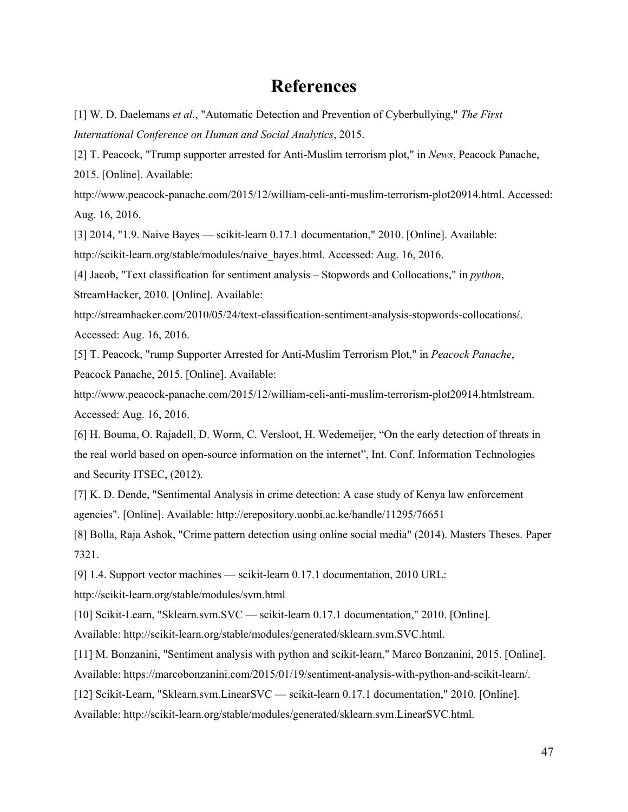# **References**

[1] W. D. Daelemans *et al.*, "Automatic Detection and Prevention of Cyberbullying," *The First International Conference on Human and Social Analytics*, 2015.

[2] T. Peacock, "Trump supporter arrested for Anti-Muslim terrorism plot," in *News*, Peacock Panache, 2015. [Online]. Available:

http://www.peacock-panache.com/2015/12/william-celi-anti-muslim-terrorism-plot20914.html. Accessed: Aug. 16, 2016.

[3] 2014, "1.9. Naive Bayes — scikit-learn 0.17.1 documentation," 2010. [Online]. Available:

http://scikit-learn.org/stable/modules/naive\_bayes.html. Accessed: Aug. 16, 2016.

[4] Jacob, "Text classification for sentiment analysis – Stopwords and Collocations," in *python*, StreamHacker, 2010. [Online]. Available:

http://streamhacker.com/2010/05/24/text-classification-sentiment-analysis-stopwords-collocations/. Accessed: Aug. 16, 2016.

[5] T. Peacock, "rump Supporter Arrested for Anti-Muslim Terrorism Plot," in *Peacock Panache*, Peacock Panache, 2015. [Online]. Available:

http://www.peacock-panache.com/2015/12/william-celi-anti-muslim-terrorism-plot20914.htmlstream. Accessed: Aug. 16, 2016.

[6] H. Bouma, O. Rajadell, D. Worm, C. Versloot, H. Wedemeijer, "On the early detection of threats in the real world based on open-source information on the internet", Int. Conf. Information Technologies and Security ITSEC, (2012).

[7] K. D. Dende, "Sentimental Analysis in crime detection: A case study of Kenya law enforcement agencies". [Online]. Available: <http://erepository.uonbi.ac.ke/handle/11295/76651>

[8] Bolla, Raja Ashok, "Crime pattern detection using online social media" (2014). Masters Theses. Paper 7321.

[9] 1.4. Support vector machines — scikit-learn 0.17.1 documentation, 2010 URL:

http://scikit-learn.org/stable/modules/svm.html

[10] Scikit-Learn, "Sklearn.svm.SVC — scikit-learn 0.17.1 documentation," 2010. [Online].

Available: http://scikit-learn.org/stable/modules/generated/sklearn.svm.SVC.html.

[11] M. Bonzanini, "Sentiment analysis with python and scikit-learn," Marco Bonzanini, 2015. [Online].

Available: https://marcobonzanini.com/2015/01/19/sentiment-analysis-with-python-and-scikit-learn/.

[12] ScikitLearn, "Sklearn.svm.LinearSVC — scikit-learn 0.17.1 documentation," 2010. [Online].

Available: http://scikit-learn.org/stable/modules/generated/sklearn.svm.LinearSVC.html.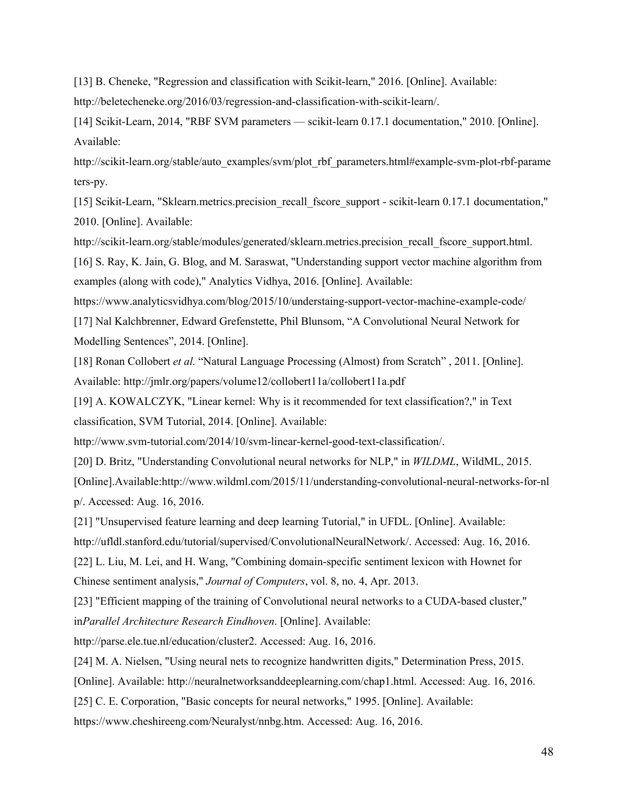[13] B. Cheneke, "Regression and classification with Scikit-learn," 2016. [Online]. Available:

http://beletecheneke.org/2016/03/regression-and-classification-with-scikit-learn/.

[14] ScikitLearn, 2014, "RBF SVM parameters — scikit-learn 0.17.1 documentation," 2010. [Online]. Available:

http://scikit-learn.org/stable/auto\_examples/svm/plot\_rbf\_parameters.html#example-svm-plot-rbf-parame ters-py.

[15] Scikit-Learn, "Sklearn.metrics.precision\_recall\_fscore\_support - scikit-learn 0.17.1 documentation," 2010. [Online]. Available:

http://scikit-learn.org/stable/modules/generated/sklearn.metrics.precision\_recall\_fscore\_support.html. [16] S. Ray, K. Jain, G. Blog, and M. Saraswat, "Understanding support vector machine algorithm from

examples (along with code)," Analytics Vidhya, 2016. [Online]. Available:

<https://www.analyticsvidhya.com/blog/2015/10/understaing-support-vector-machine-example-code/>

[17] Nal Kalchbrenner, Edward Grefenstette, Phil Blunsom, "A Convolutional Neural Network for Modelling Sentences", 2014. [Online].

[18] Ronan Collobert *et al.* "Natural Language Processing (Almost) from Scratch" , 2011. [Online]. Available: http://jmlr.org/papers/volume12/collobert11a/collobert11a.pdf

[19] A. KOWALCZYK, "Linear kernel: Why is it recommended for text classification?," in Text classification, SVM Tutorial, 2014. [Online]. Available:

http://www.svm-tutorial.com/2014/10/svm-linear-kernel-good-text-classification/.

[20] D. Britz, "Understanding Convolutional neural networks for NLP," in *WILDML*, WildML, 2015.

[Online].Available:http://www.wildml.com/2015/11/understanding-convolutional-neural-networks-for-nl p/. Accessed: Aug. 16, 2016.

[21] "Unsupervised feature learning and deep learning Tutorial," in UFDL. [Online]. Available: http://ufldl.stanford.edu/tutorial/supervised/ConvolutionalNeuralNetwork/. Accessed: Aug. 16, 2016. [22] L. Liu, M. Lei, and H. Wang, "Combining domain-specific sentiment lexicon with Hownet for

Chinese sentiment analysis," *Journal of Computers*, vol. 8, no. 4, Apr. 2013.

[23] "Efficient mapping of the training of Convolutional neural networks to a CUDA-based cluster," in*Parallel Architecture Research Eindhoven*. [Online]. Available:

http://parse.ele.tue.nl/education/cluster2. Accessed: Aug. 16, 2016.

[24] M. A. Nielsen, "Using neural nets to recognize handwritten digits," Determination Press, 2015.

[Online]. Available: http://neuralnetworksanddeeplearning.com/chap1.html. Accessed: Aug. 16, 2016.

[25] C. E. Corporation, "Basic concepts for neural networks," 1995. [Online]. Available:

https://www.cheshireeng.com/Neuralyst/nnbg.htm. Accessed: Aug. 16, 2016.